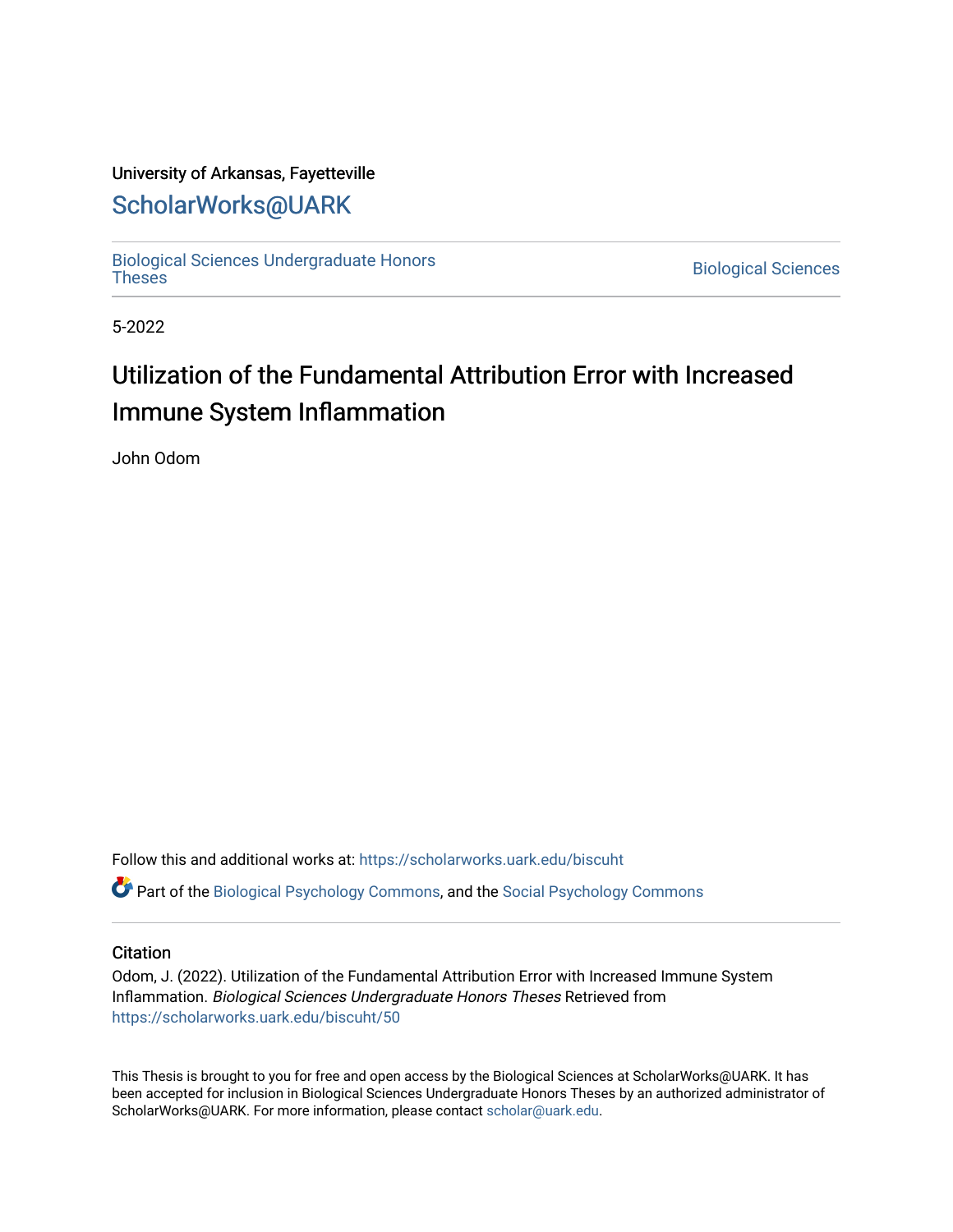### University of Arkansas, Fayetteville

## [ScholarWorks@UARK](https://scholarworks.uark.edu/)

[Biological Sciences Undergraduate Honors](https://scholarworks.uark.edu/biscuht)

**Biological Sciences** 

5-2022

# Utilization of the Fundamental Attribution Error with Increased Immune System Inflammation

John Odom

Follow this and additional works at: [https://scholarworks.uark.edu/biscuht](https://scholarworks.uark.edu/biscuht?utm_source=scholarworks.uark.edu%2Fbiscuht%2F50&utm_medium=PDF&utm_campaign=PDFCoverPages) 

**C** Part of the [Biological Psychology Commons,](http://network.bepress.com/hgg/discipline/405?utm_source=scholarworks.uark.edu%2Fbiscuht%2F50&utm_medium=PDF&utm_campaign=PDFCoverPages) and the [Social Psychology Commons](http://network.bepress.com/hgg/discipline/414?utm_source=scholarworks.uark.edu%2Fbiscuht%2F50&utm_medium=PDF&utm_campaign=PDFCoverPages)

#### **Citation**

Odom, J. (2022). Utilization of the Fundamental Attribution Error with Increased Immune System Inflammation. Biological Sciences Undergraduate Honors Theses Retrieved from [https://scholarworks.uark.edu/biscuht/50](https://scholarworks.uark.edu/biscuht/50?utm_source=scholarworks.uark.edu%2Fbiscuht%2F50&utm_medium=PDF&utm_campaign=PDFCoverPages)

This Thesis is brought to you for free and open access by the Biological Sciences at ScholarWorks@UARK. It has been accepted for inclusion in Biological Sciences Undergraduate Honors Theses by an authorized administrator of ScholarWorks@UARK. For more information, please contact [scholar@uark.edu](mailto:scholar@uark.edu).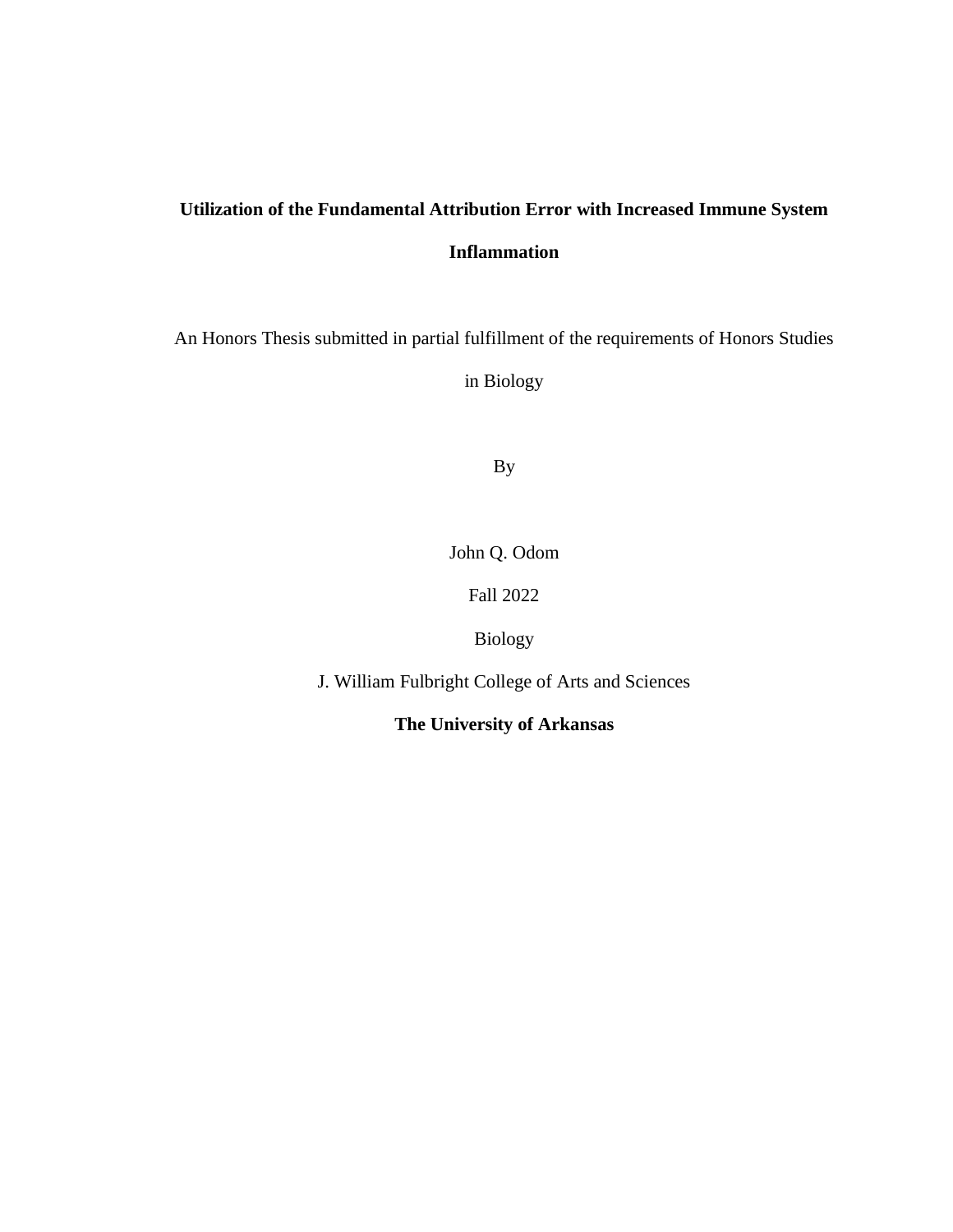## **Utilization of the Fundamental Attribution Error with Increased Immune System Inflammation**

An Honors Thesis submitted in partial fulfillment of the requirements of Honors Studies

in Biology

By

John Q. Odom

Fall 2022

Biology

J. William Fulbright College of Arts and Sciences

**The University of Arkansas**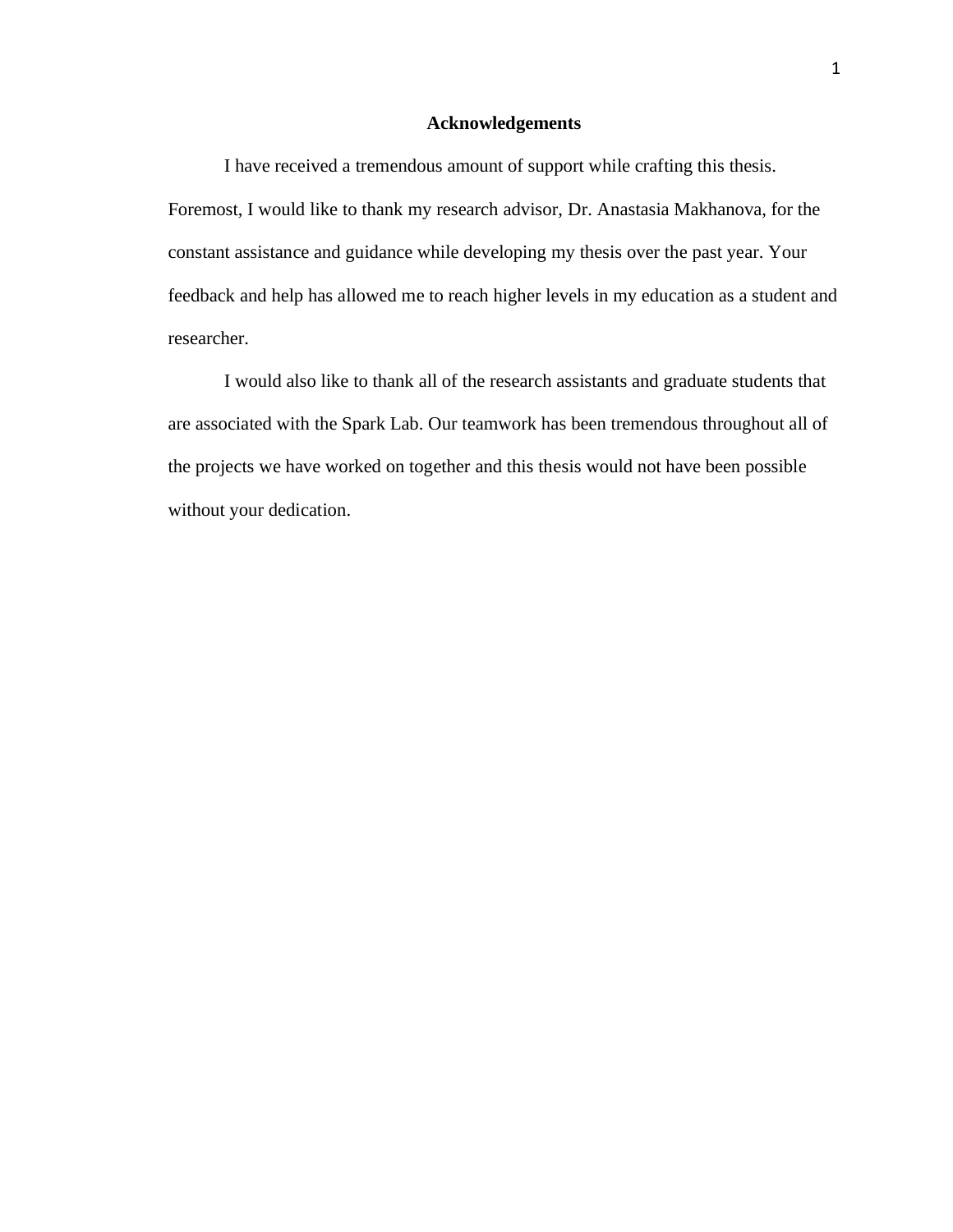#### **Acknowledgements**

I have received a tremendous amount of support while crafting this thesis. Foremost, I would like to thank my research advisor, Dr. Anastasia Makhanova, for the constant assistance and guidance while developing my thesis over the past year. Your feedback and help has allowed me to reach higher levels in my education as a student and researcher.

I would also like to thank all of the research assistants and graduate students that are associated with the Spark Lab. Our teamwork has been tremendous throughout all of the projects we have worked on together and this thesis would not have been possible without your dedication.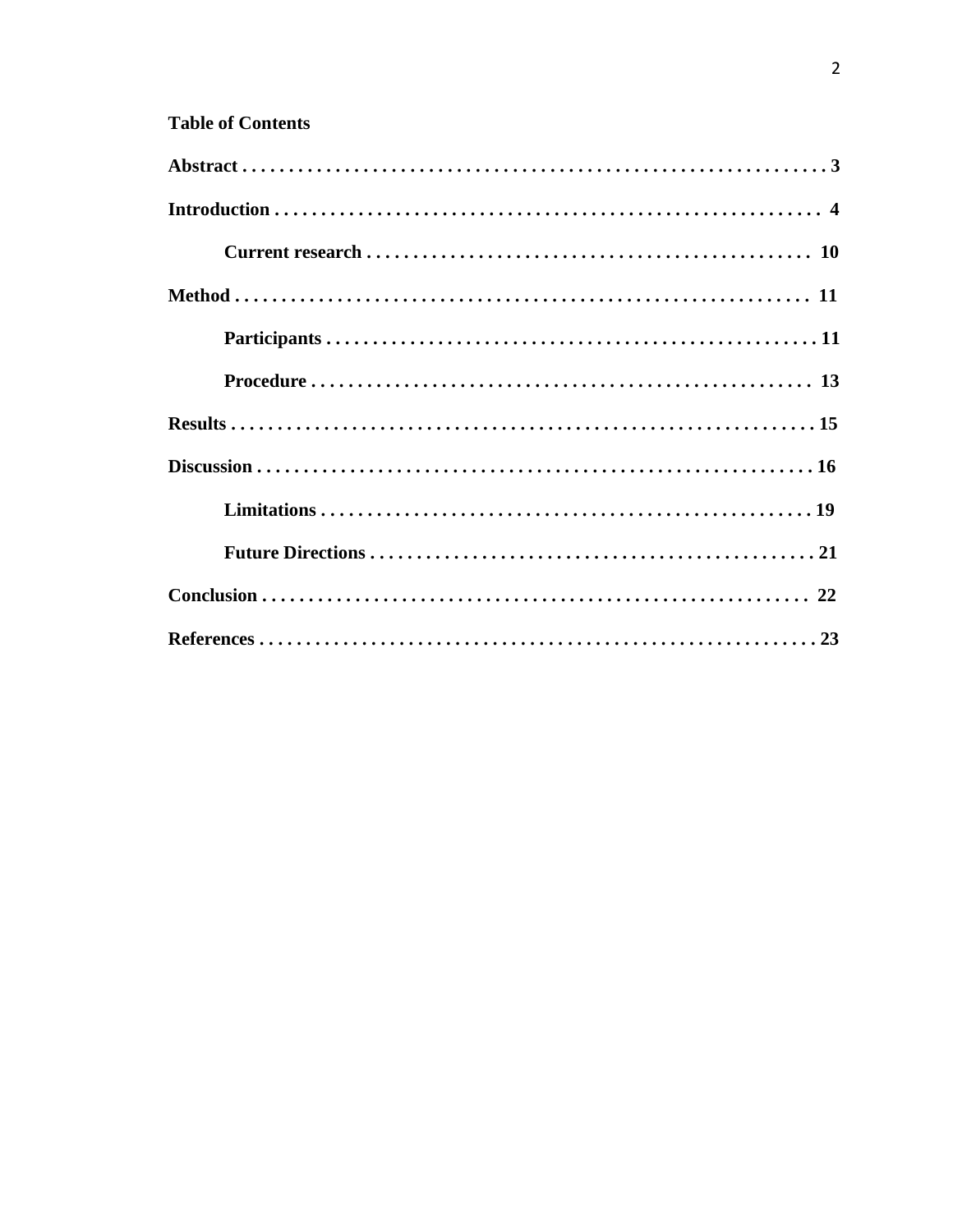### **Table of Contents**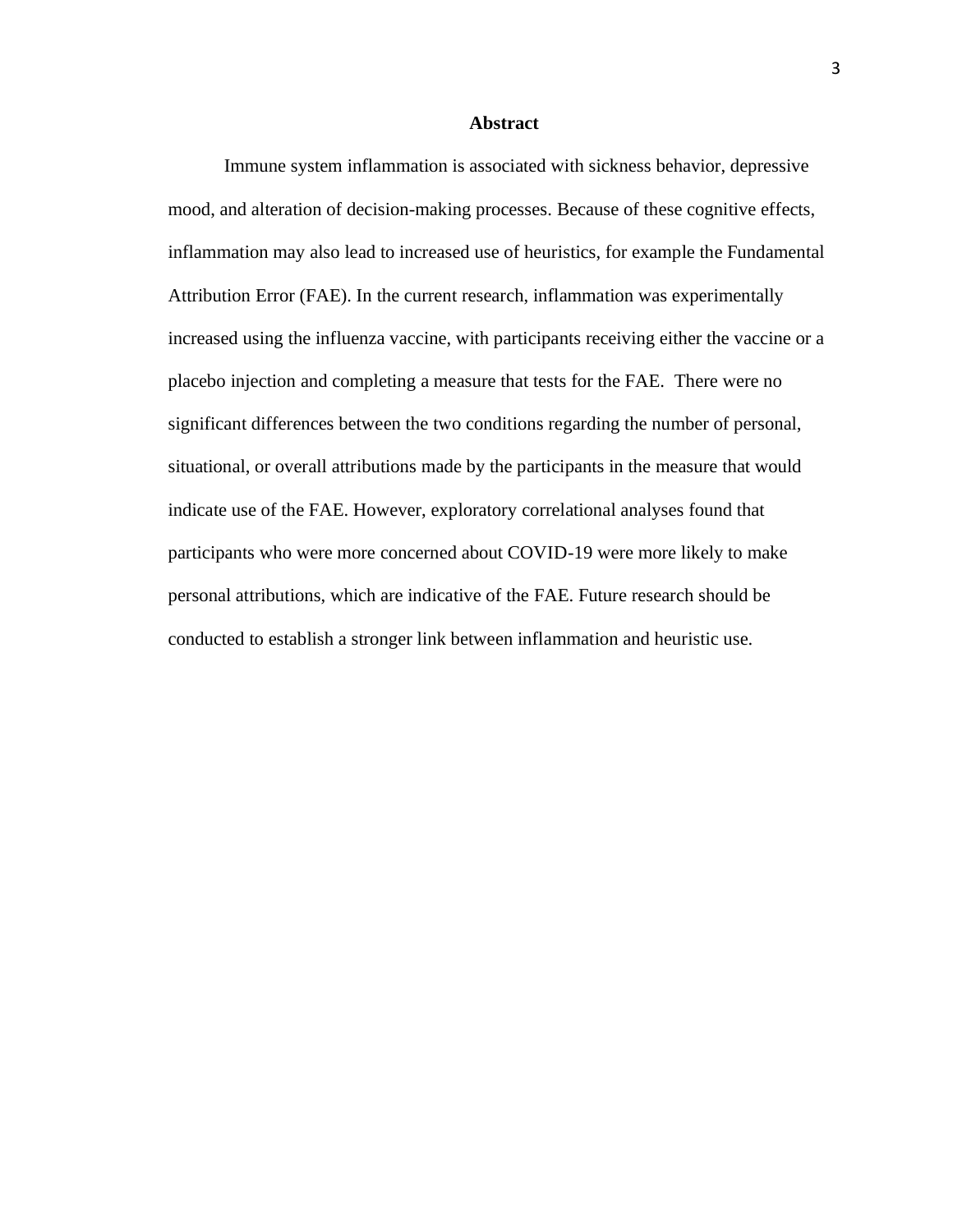#### **Abstract**

Immune system inflammation is associated with sickness behavior, depressive mood, and alteration of decision-making processes. Because of these cognitive effects, inflammation may also lead to increased use of heuristics, for example the Fundamental Attribution Error (FAE). In the current research, inflammation was experimentally increased using the influenza vaccine, with participants receiving either the vaccine or a placebo injection and completing a measure that tests for the FAE. There were no significant differences between the two conditions regarding the number of personal, situational, or overall attributions made by the participants in the measure that would indicate use of the FAE. However, exploratory correlational analyses found that participants who were more concerned about COVID-19 were more likely to make personal attributions, which are indicative of the FAE. Future research should be conducted to establish a stronger link between inflammation and heuristic use.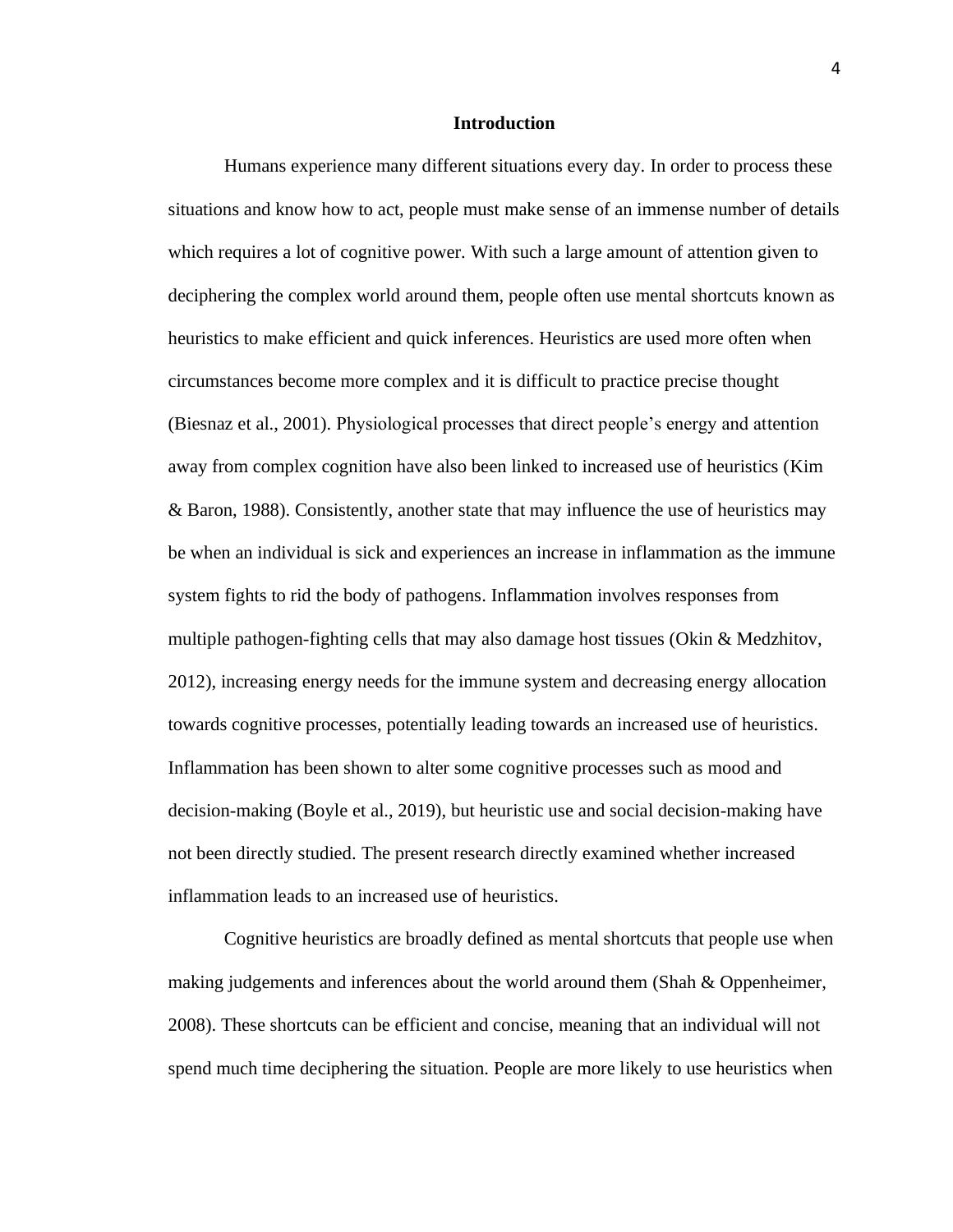#### **Introduction**

Humans experience many different situations every day. In order to process these situations and know how to act, people must make sense of an immense number of details which requires a lot of cognitive power. With such a large amount of attention given to deciphering the complex world around them, people often use mental shortcuts known as heuristics to make efficient and quick inferences. Heuristics are used more often when circumstances become more complex and it is difficult to practice precise thought (Biesnaz et al., 2001). Physiological processes that direct people's energy and attention away from complex cognition have also been linked to increased use of heuristics (Kim & Baron, 1988). Consistently, another state that may influence the use of heuristics may be when an individual is sick and experiences an increase in inflammation as the immune system fights to rid the body of pathogens. Inflammation involves responses from multiple pathogen-fighting cells that may also damage host tissues (Okin  $\&$  Medzhitov, 2012), increasing energy needs for the immune system and decreasing energy allocation towards cognitive processes, potentially leading towards an increased use of heuristics. Inflammation has been shown to alter some cognitive processes such as mood and decision-making (Boyle et al., 2019), but heuristic use and social decision-making have not been directly studied. The present research directly examined whether increased inflammation leads to an increased use of heuristics.

Cognitive heuristics are broadly defined as mental shortcuts that people use when making judgements and inferences about the world around them (Shah & Oppenheimer, 2008). These shortcuts can be efficient and concise, meaning that an individual will not spend much time deciphering the situation. People are more likely to use heuristics when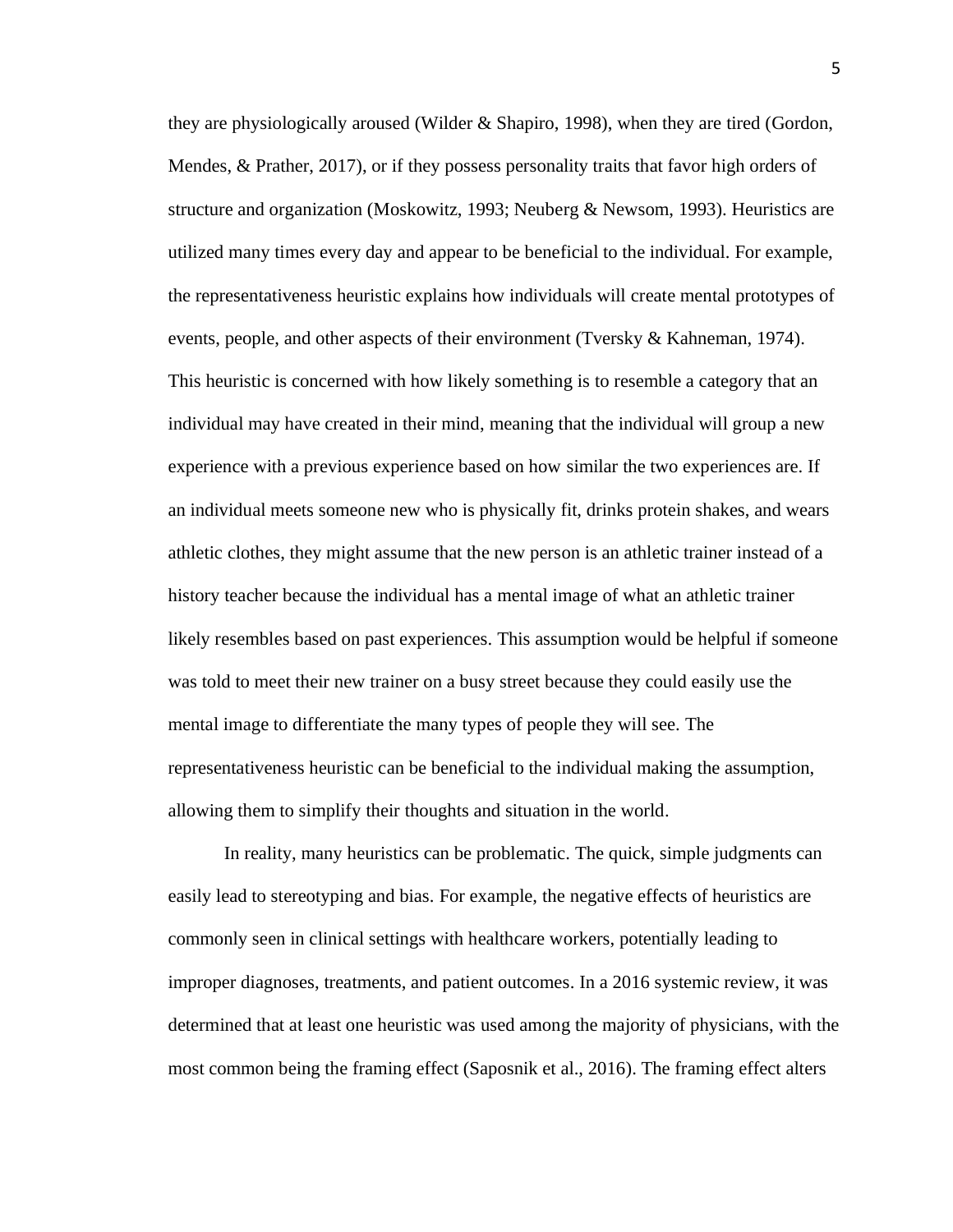they are physiologically aroused (Wilder & Shapiro, 1998), when they are tired (Gordon, Mendes, & Prather, 2017), or if they possess personality traits that favor high orders of structure and organization (Moskowitz, 1993; Neuberg & Newsom, 1993). Heuristics are utilized many times every day and appear to be beneficial to the individual. For example, the representativeness heuristic explains how individuals will create mental prototypes of events, people, and other aspects of their environment (Tversky & Kahneman, 1974). This heuristic is concerned with how likely something is to resemble a category that an individual may have created in their mind, meaning that the individual will group a new experience with a previous experience based on how similar the two experiences are. If an individual meets someone new who is physically fit, drinks protein shakes, and wears athletic clothes, they might assume that the new person is an athletic trainer instead of a history teacher because the individual has a mental image of what an athletic trainer likely resembles based on past experiences. This assumption would be helpful if someone was told to meet their new trainer on a busy street because they could easily use the mental image to differentiate the many types of people they will see. The representativeness heuristic can be beneficial to the individual making the assumption, allowing them to simplify their thoughts and situation in the world.

In reality, many heuristics can be problematic. The quick, simple judgments can easily lead to stereotyping and bias. For example, the negative effects of heuristics are commonly seen in clinical settings with healthcare workers, potentially leading to improper diagnoses, treatments, and patient outcomes. In a 2016 systemic review, it was determined that at least one heuristic was used among the majority of physicians, with the most common being the framing effect (Saposnik et al., 2016). The framing effect alters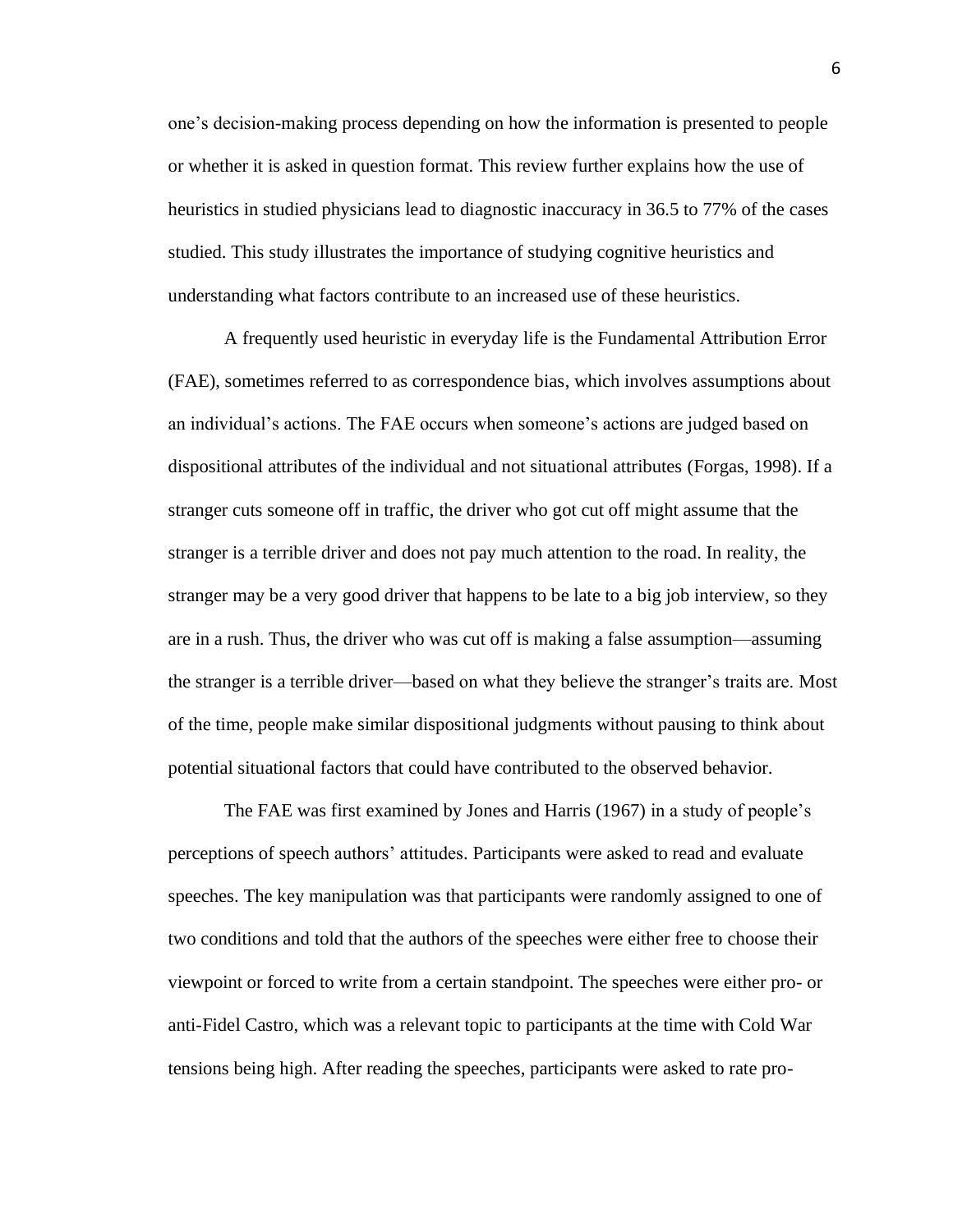one's decision-making process depending on how the information is presented to people or whether it is asked in question format. This review further explains how the use of heuristics in studied physicians lead to diagnostic inaccuracy in 36.5 to 77% of the cases studied. This study illustrates the importance of studying cognitive heuristics and understanding what factors contribute to an increased use of these heuristics.

A frequently used heuristic in everyday life is the Fundamental Attribution Error (FAE), sometimes referred to as correspondence bias, which involves assumptions about an individual's actions. The FAE occurs when someone's actions are judged based on dispositional attributes of the individual and not situational attributes (Forgas, 1998). If a stranger cuts someone off in traffic, the driver who got cut off might assume that the stranger is a terrible driver and does not pay much attention to the road. In reality, the stranger may be a very good driver that happens to be late to a big job interview, so they are in a rush. Thus, the driver who was cut off is making a false assumption—assuming the stranger is a terrible driver—based on what they believe the stranger's traits are. Most of the time, people make similar dispositional judgments without pausing to think about potential situational factors that could have contributed to the observed behavior.

The FAE was first examined by Jones and Harris (1967) in a study of people's perceptions of speech authors' attitudes. Participants were asked to read and evaluate speeches. The key manipulation was that participants were randomly assigned to one of two conditions and told that the authors of the speeches were either free to choose their viewpoint or forced to write from a certain standpoint. The speeches were either pro- or anti-Fidel Castro, which was a relevant topic to participants at the time with Cold War tensions being high. After reading the speeches, participants were asked to rate pro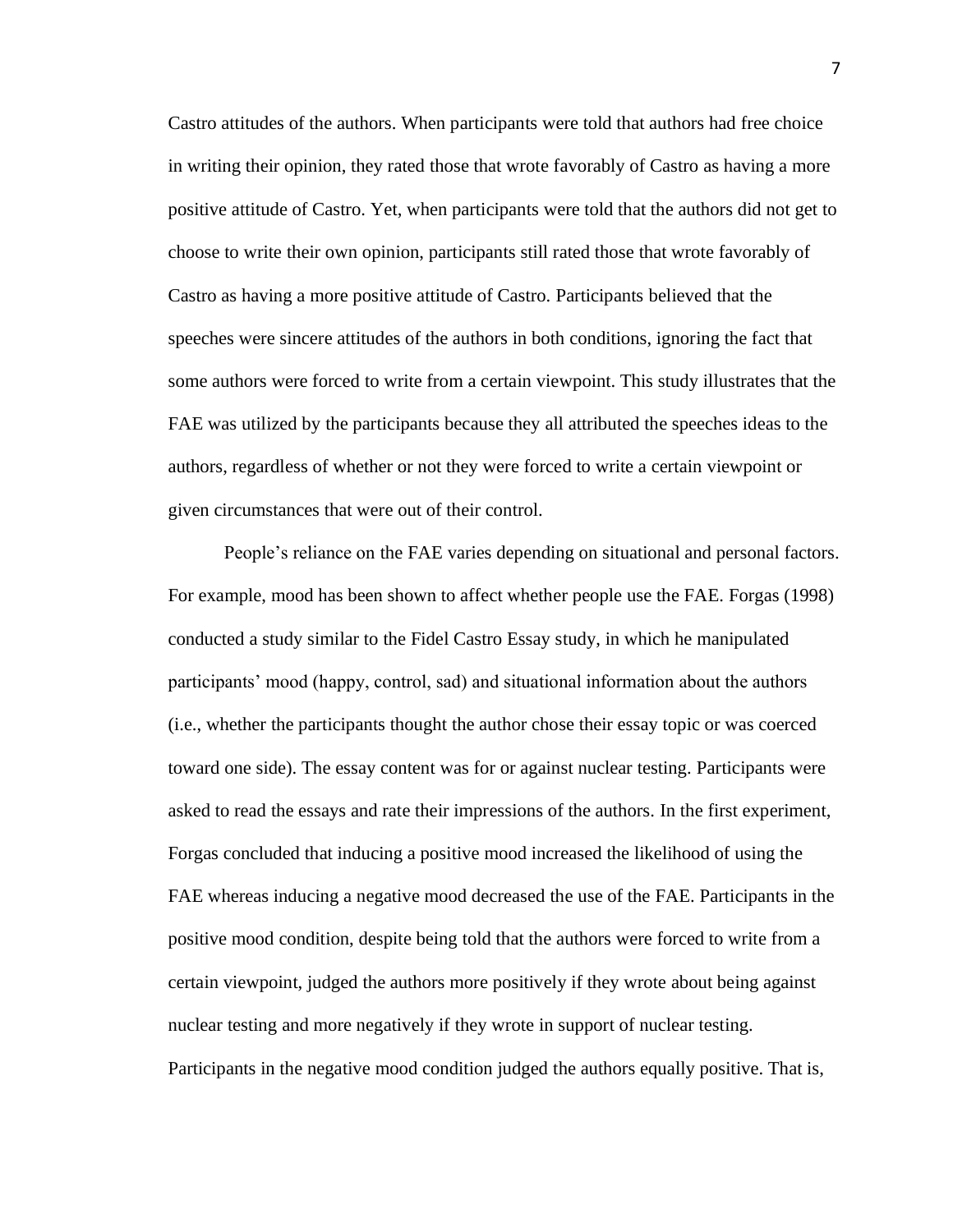Castro attitudes of the authors. When participants were told that authors had free choice in writing their opinion, they rated those that wrote favorably of Castro as having a more positive attitude of Castro. Yet, when participants were told that the authors did not get to choose to write their own opinion, participants still rated those that wrote favorably of Castro as having a more positive attitude of Castro. Participants believed that the speeches were sincere attitudes of the authors in both conditions, ignoring the fact that some authors were forced to write from a certain viewpoint. This study illustrates that the FAE was utilized by the participants because they all attributed the speeches ideas to the authors, regardless of whether or not they were forced to write a certain viewpoint or given circumstances that were out of their control.

People's reliance on the FAE varies depending on situational and personal factors. For example, mood has been shown to affect whether people use the FAE. Forgas (1998) conducted a study similar to the Fidel Castro Essay study, in which he manipulated participants' mood (happy, control, sad) and situational information about the authors (i.e., whether the participants thought the author chose their essay topic or was coerced toward one side). The essay content was for or against nuclear testing. Participants were asked to read the essays and rate their impressions of the authors. In the first experiment, Forgas concluded that inducing a positive mood increased the likelihood of using the FAE whereas inducing a negative mood decreased the use of the FAE. Participants in the positive mood condition, despite being told that the authors were forced to write from a certain viewpoint, judged the authors more positively if they wrote about being against nuclear testing and more negatively if they wrote in support of nuclear testing. Participants in the negative mood condition judged the authors equally positive. That is,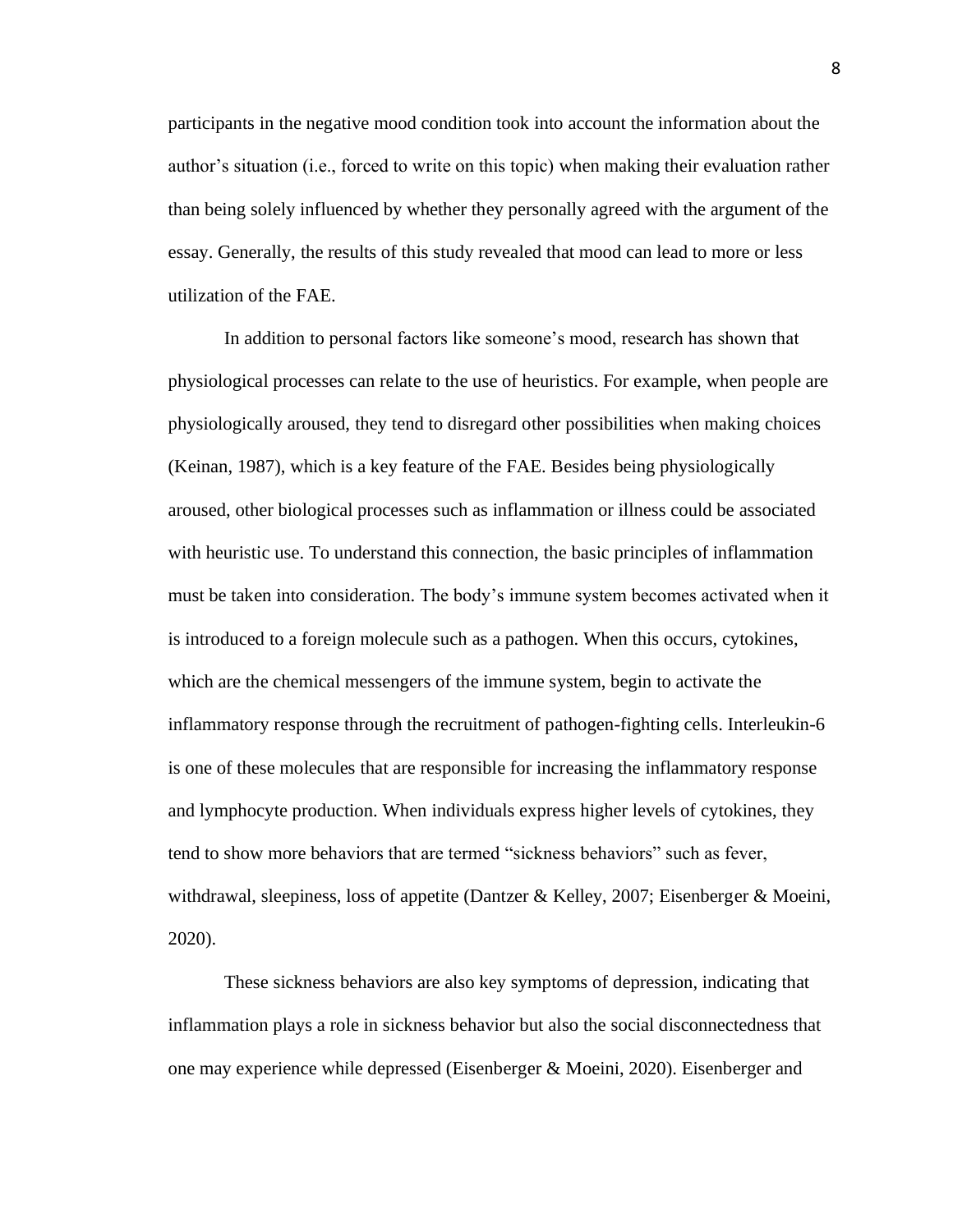participants in the negative mood condition took into account the information about the author's situation (i.e., forced to write on this topic) when making their evaluation rather than being solely influenced by whether they personally agreed with the argument of the essay. Generally, the results of this study revealed that mood can lead to more or less utilization of the FAE.

In addition to personal factors like someone's mood, research has shown that physiological processes can relate to the use of heuristics. For example, when people are physiologically aroused, they tend to disregard other possibilities when making choices (Keinan, 1987), which is a key feature of the FAE. Besides being physiologically aroused, other biological processes such as inflammation or illness could be associated with heuristic use. To understand this connection, the basic principles of inflammation must be taken into consideration. The body's immune system becomes activated when it is introduced to a foreign molecule such as a pathogen. When this occurs, cytokines, which are the chemical messengers of the immune system, begin to activate the inflammatory response through the recruitment of pathogen-fighting cells. Interleukin-6 is one of these molecules that are responsible for increasing the inflammatory response and lymphocyte production. When individuals express higher levels of cytokines, they tend to show more behaviors that are termed "sickness behaviors" such as fever, withdrawal, sleepiness, loss of appetite (Dantzer & Kelley, 2007; Eisenberger & Moeini, 2020).

These sickness behaviors are also key symptoms of depression, indicating that inflammation plays a role in sickness behavior but also the social disconnectedness that one may experience while depressed (Eisenberger & Moeini, 2020). Eisenberger and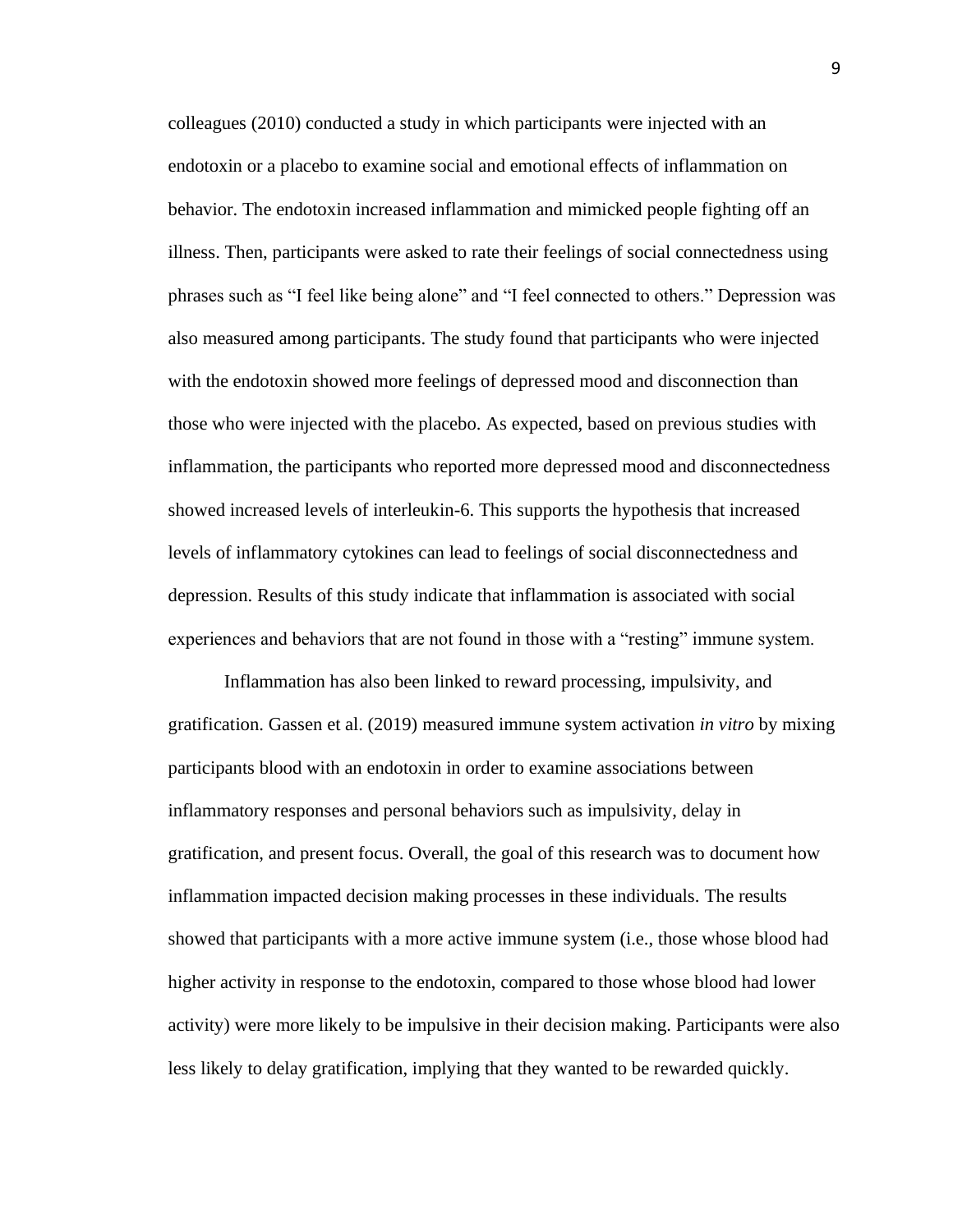colleagues (2010) conducted a study in which participants were injected with an endotoxin or a placebo to examine social and emotional effects of inflammation on behavior. The endotoxin increased inflammation and mimicked people fighting off an illness. Then, participants were asked to rate their feelings of social connectedness using phrases such as "I feel like being alone" and "I feel connected to others." Depression was also measured among participants. The study found that participants who were injected with the endotoxin showed more feelings of depressed mood and disconnection than those who were injected with the placebo. As expected, based on previous studies with inflammation, the participants who reported more depressed mood and disconnectedness showed increased levels of interleukin-6. This supports the hypothesis that increased levels of inflammatory cytokines can lead to feelings of social disconnectedness and depression. Results of this study indicate that inflammation is associated with social experiences and behaviors that are not found in those with a "resting" immune system.

Inflammation has also been linked to reward processing, impulsivity, and gratification. Gassen et al. (2019) measured immune system activation *in vitro* by mixing participants blood with an endotoxin in order to examine associations between inflammatory responses and personal behaviors such as impulsivity, delay in gratification, and present focus. Overall, the goal of this research was to document how inflammation impacted decision making processes in these individuals. The results showed that participants with a more active immune system (i.e., those whose blood had higher activity in response to the endotoxin, compared to those whose blood had lower activity) were more likely to be impulsive in their decision making. Participants were also less likely to delay gratification, implying that they wanted to be rewarded quickly.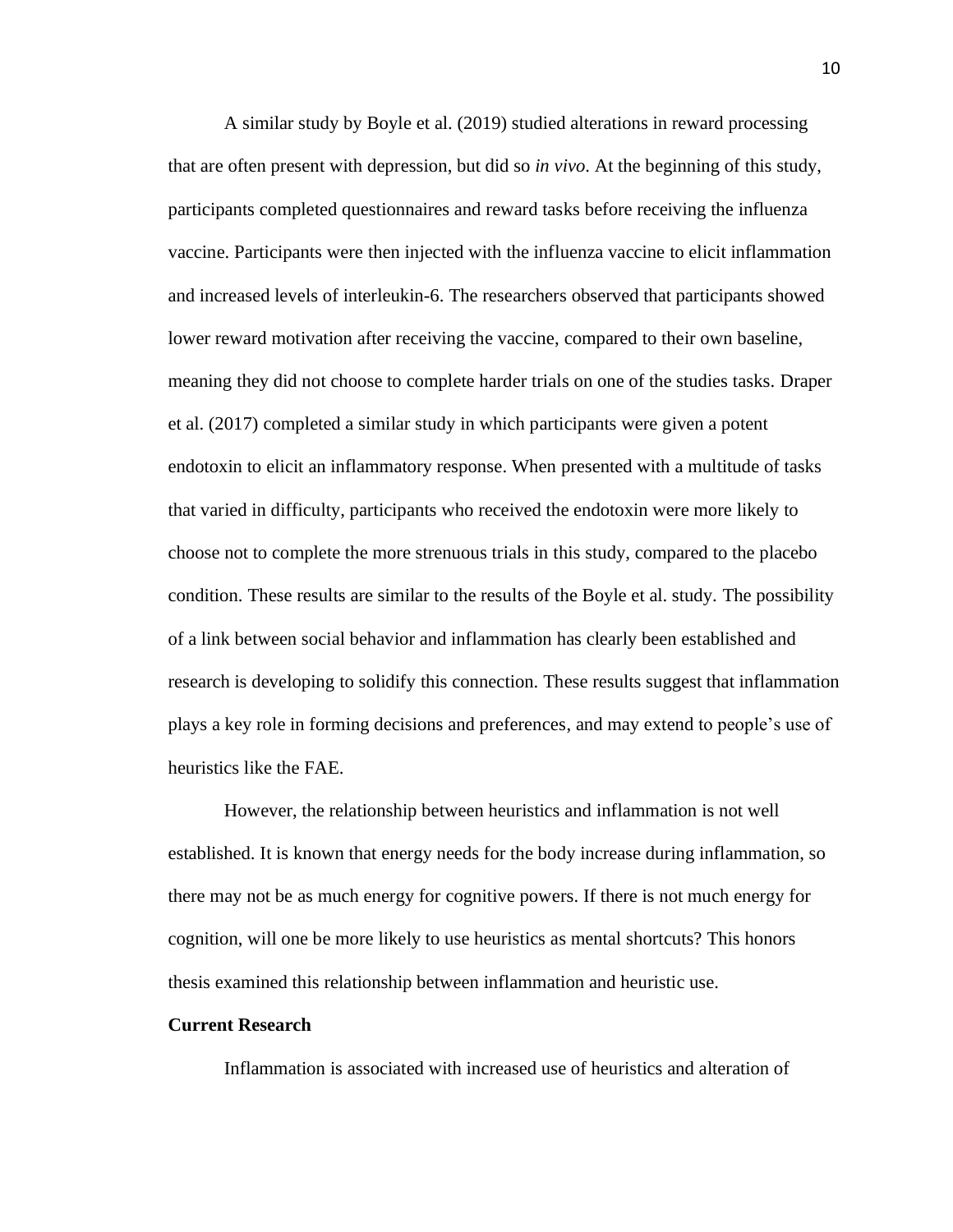A similar study by Boyle et al. (2019) studied alterations in reward processing that are often present with depression, but did so *in vivo*. At the beginning of this study, participants completed questionnaires and reward tasks before receiving the influenza vaccine. Participants were then injected with the influenza vaccine to elicit inflammation and increased levels of interleukin-6. The researchers observed that participants showed lower reward motivation after receiving the vaccine, compared to their own baseline, meaning they did not choose to complete harder trials on one of the studies tasks. Draper et al. (2017) completed a similar study in which participants were given a potent endotoxin to elicit an inflammatory response. When presented with a multitude of tasks that varied in difficulty, participants who received the endotoxin were more likely to choose not to complete the more strenuous trials in this study, compared to the placebo condition. These results are similar to the results of the Boyle et al. study. The possibility of a link between social behavior and inflammation has clearly been established and research is developing to solidify this connection. These results suggest that inflammation plays a key role in forming decisions and preferences, and may extend to people's use of heuristics like the FAE.

However, the relationship between heuristics and inflammation is not well established. It is known that energy needs for the body increase during inflammation, so there may not be as much energy for cognitive powers. If there is not much energy for cognition, will one be more likely to use heuristics as mental shortcuts? This honors thesis examined this relationship between inflammation and heuristic use.

#### **Current Research**

Inflammation is associated with increased use of heuristics and alteration of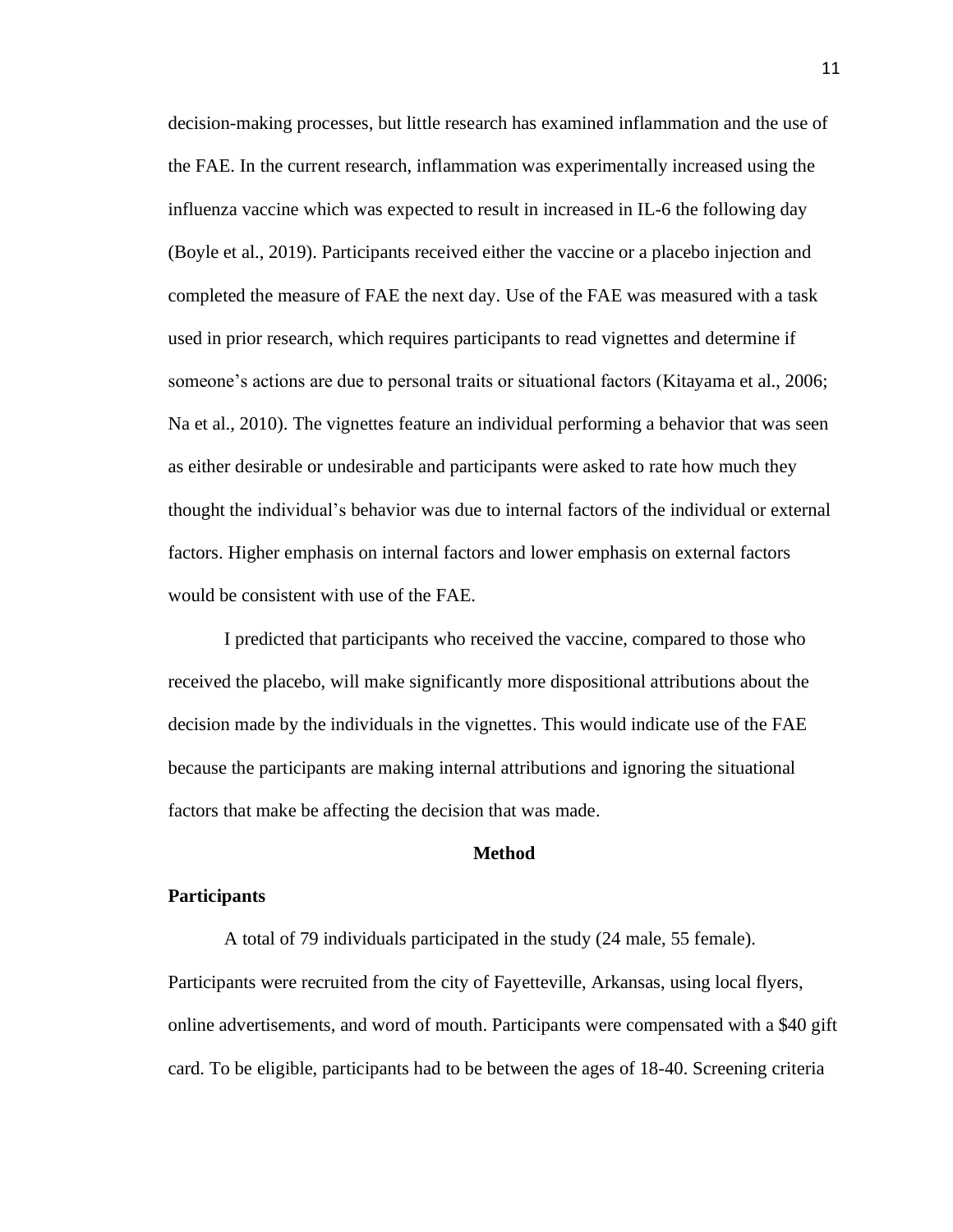decision-making processes, but little research has examined inflammation and the use of the FAE. In the current research, inflammation was experimentally increased using the influenza vaccine which was expected to result in increased in IL-6 the following day (Boyle et al., 2019). Participants received either the vaccine or a placebo injection and completed the measure of FAE the next day. Use of the FAE was measured with a task used in prior research, which requires participants to read vignettes and determine if someone's actions are due to personal traits or situational factors (Kitayama et al., 2006; Na et al., 2010). The vignettes feature an individual performing a behavior that was seen as either desirable or undesirable and participants were asked to rate how much they thought the individual's behavior was due to internal factors of the individual or external factors. Higher emphasis on internal factors and lower emphasis on external factors would be consistent with use of the FAE.

I predicted that participants who received the vaccine, compared to those who received the placebo, will make significantly more dispositional attributions about the decision made by the individuals in the vignettes. This would indicate use of the FAE because the participants are making internal attributions and ignoring the situational factors that make be affecting the decision that was made.

#### **Method**

#### **Participants**

A total of 79 individuals participated in the study (24 male, 55 female). Participants were recruited from the city of Fayetteville, Arkansas, using local flyers, online advertisements, and word of mouth. Participants were compensated with a \$40 gift card. To be eligible, participants had to be between the ages of 18-40. Screening criteria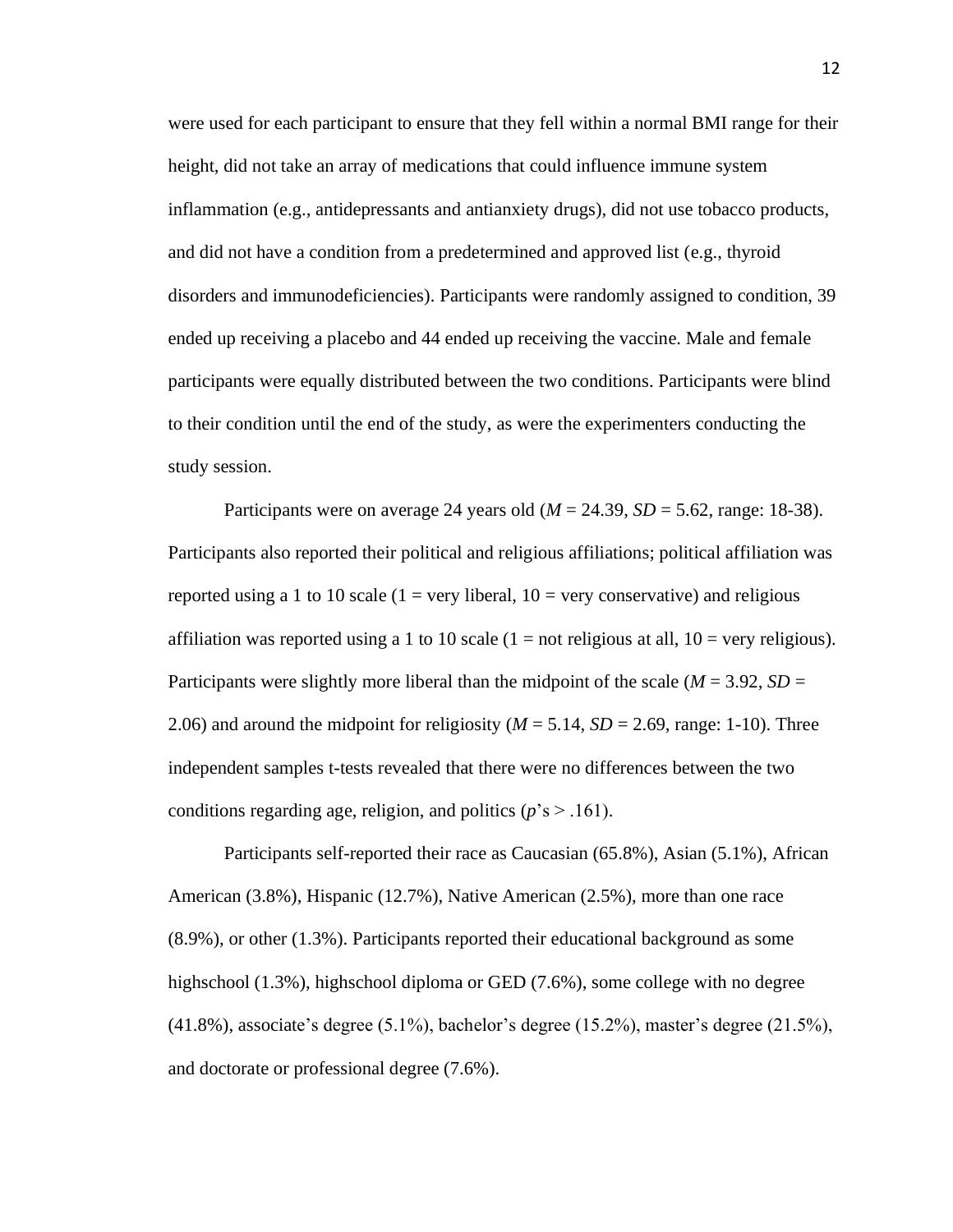were used for each participant to ensure that they fell within a normal BMI range for their height, did not take an array of medications that could influence immune system inflammation (e.g., antidepressants and antianxiety drugs), did not use tobacco products, and did not have a condition from a predetermined and approved list (e.g., thyroid disorders and immunodeficiencies). Participants were randomly assigned to condition, 39 ended up receiving a placebo and 44 ended up receiving the vaccine. Male and female participants were equally distributed between the two conditions. Participants were blind to their condition until the end of the study, as were the experimenters conducting the study session.

Participants were on average 24 years old (*M* = 24.39, *SD* = 5.62, range: 18-38). Participants also reported their political and religious affiliations; political affiliation was reported using a 1 to 10 scale  $(1 = \text{very liberal}, 10 = \text{very conservative})$  and religious affiliation was reported using a 1 to 10 scale  $(1 = not$  religious at all,  $10 =$  very religious). Participants were slightly more liberal than the midpoint of the scale (*M* = 3.92, *SD* = 2.06) and around the midpoint for religiosity ( $M = 5.14$ ,  $SD = 2.69$ , range: 1-10). Three independent samples t-tests revealed that there were no differences between the two conditions regarding age, religion, and politics (*p*'s > .161).

Participants self-reported their race as Caucasian (65.8%), Asian (5.1%), African American (3.8%), Hispanic (12.7%), Native American (2.5%), more than one race (8.9%), or other (1.3%). Participants reported their educational background as some highschool (1.3%), highschool diploma or GED (7.6%), some college with no degree (41.8%), associate's degree (5.1%), bachelor's degree (15.2%), master's degree (21.5%), and doctorate or professional degree (7.6%).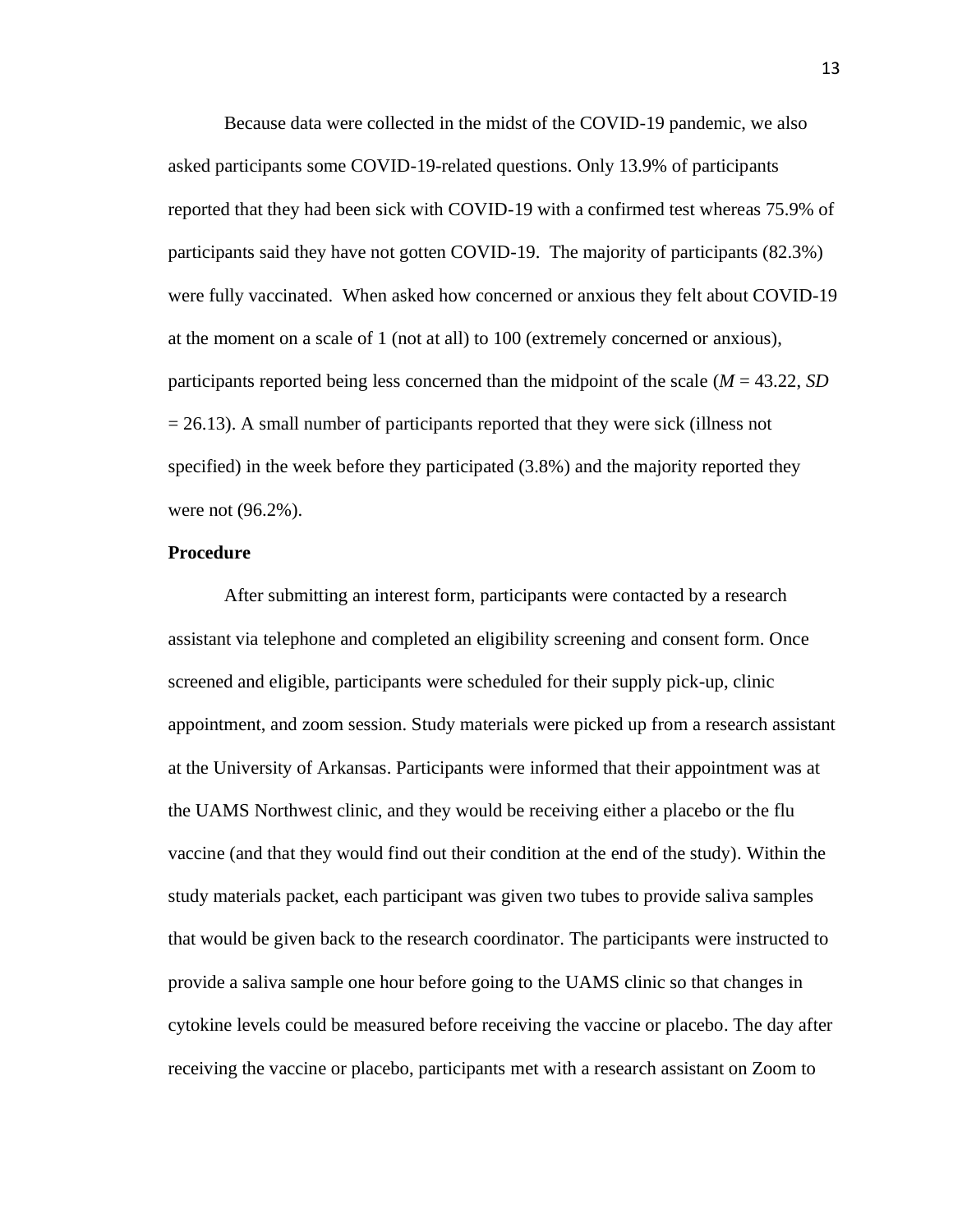Because data were collected in the midst of the COVID-19 pandemic, we also asked participants some COVID-19-related questions. Only 13.9% of participants reported that they had been sick with COVID-19 with a confirmed test whereas 75.9% of participants said they have not gotten COVID-19. The majority of participants (82.3%) were fully vaccinated. When asked how concerned or anxious they felt about COVID-19 at the moment on a scale of 1 (not at all) to 100 (extremely concerned or anxious), participants reported being less concerned than the midpoint of the scale (*M* = 43.22, *SD*   $= 26.13$ ). A small number of participants reported that they were sick (illness not specified) in the week before they participated (3.8%) and the majority reported they were not (96.2%).

#### **Procedure**

After submitting an interest form, participants were contacted by a research assistant via telephone and completed an eligibility screening and consent form. Once screened and eligible, participants were scheduled for their supply pick-up, clinic appointment, and zoom session. Study materials were picked up from a research assistant at the University of Arkansas. Participants were informed that their appointment was at the UAMS Northwest clinic, and they would be receiving either a placebo or the flu vaccine (and that they would find out their condition at the end of the study). Within the study materials packet, each participant was given two tubes to provide saliva samples that would be given back to the research coordinator. The participants were instructed to provide a saliva sample one hour before going to the UAMS clinic so that changes in cytokine levels could be measured before receiving the vaccine or placebo. The day after receiving the vaccine or placebo, participants met with a research assistant on Zoom to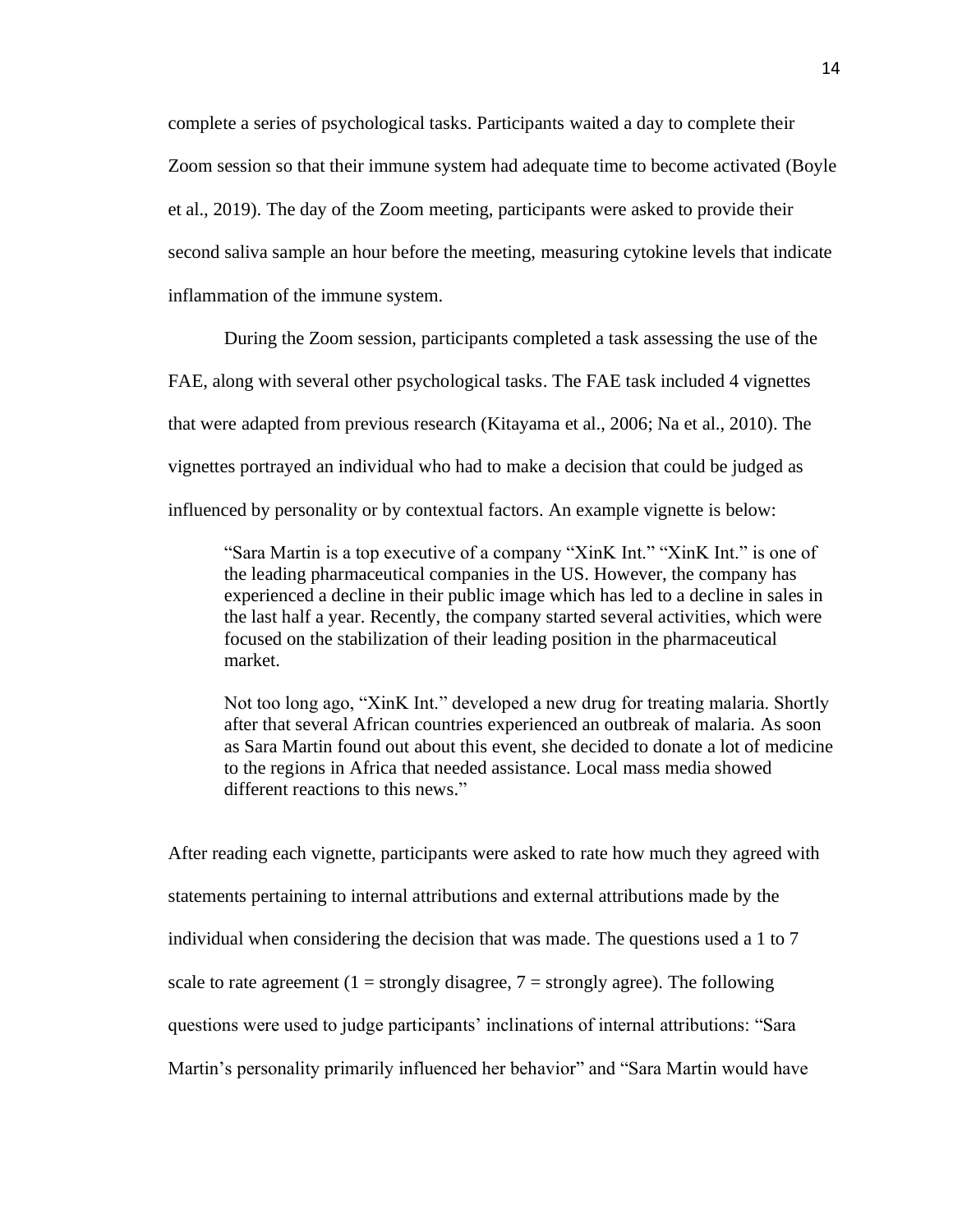complete a series of psychological tasks. Participants waited a day to complete their Zoom session so that their immune system had adequate time to become activated (Boyle et al., 2019). The day of the Zoom meeting, participants were asked to provide their second saliva sample an hour before the meeting, measuring cytokine levels that indicate inflammation of the immune system.

During the Zoom session, participants completed a task assessing the use of the FAE, along with several other psychological tasks. The FAE task included 4 vignettes that were adapted from previous research (Kitayama et al., 2006; Na et al., 2010). The vignettes portrayed an individual who had to make a decision that could be judged as influenced by personality or by contextual factors. An example vignette is below:

"Sara Martin is a top executive of a company "XinK Int." "XinK Int." is one of the leading pharmaceutical companies in the US. However, the company has experienced a decline in their public image which has led to a decline in sales in the last half a year. Recently, the company started several activities, which were focused on the stabilization of their leading position in the pharmaceutical market.

Not too long ago, "XinK Int." developed a new drug for treating malaria. Shortly after that several African countries experienced an outbreak of malaria. As soon as Sara Martin found out about this event, she decided to donate a lot of medicine to the regions in Africa that needed assistance. Local mass media showed different reactions to this news."

After reading each vignette, participants were asked to rate how much they agreed with statements pertaining to internal attributions and external attributions made by the individual when considering the decision that was made. The questions used a 1 to 7 scale to rate agreement (1 = strongly disagree,  $7$  = strongly agree). The following questions were used to judge participants' inclinations of internal attributions: "Sara Martin's personality primarily influenced her behavior" and "Sara Martin would have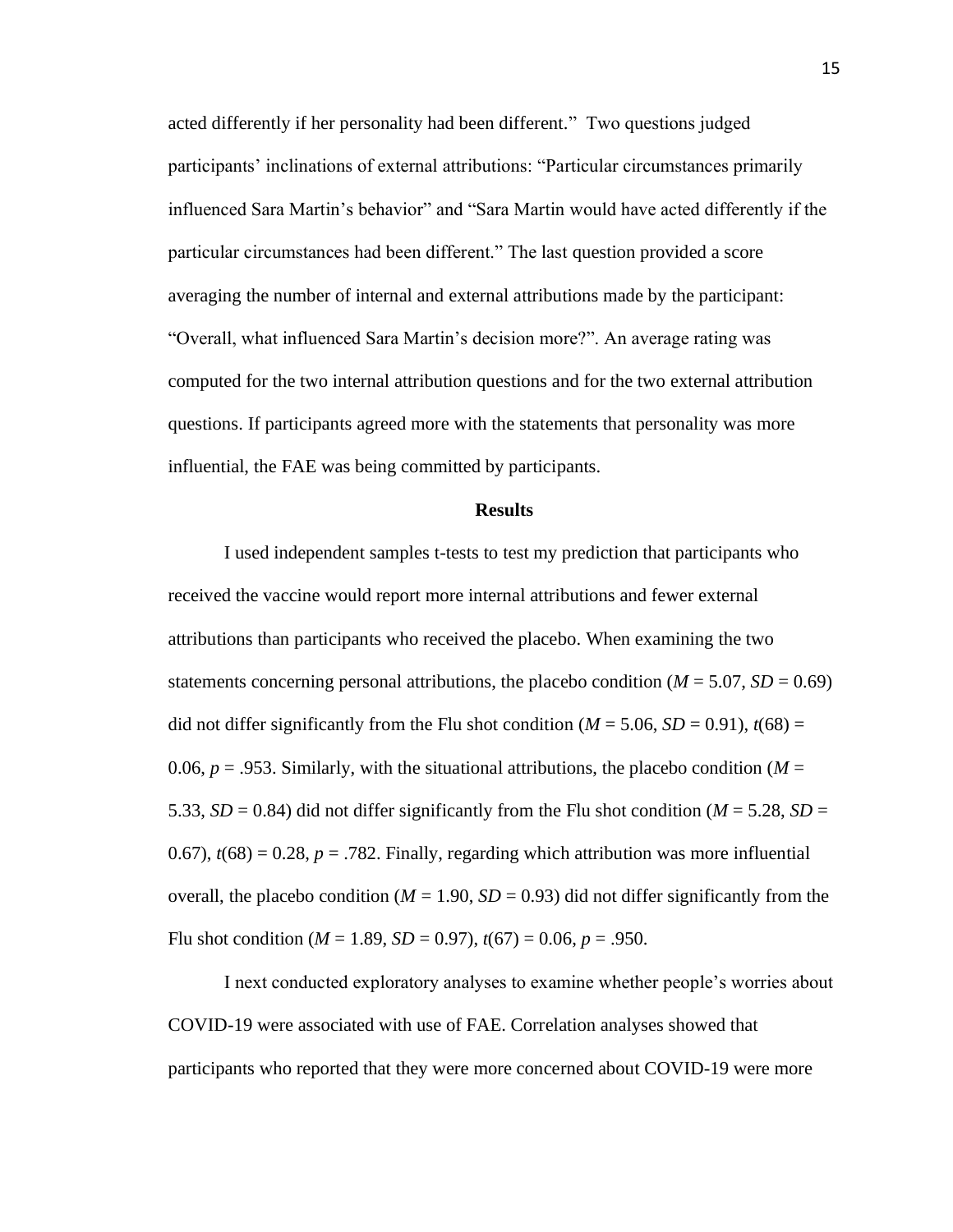acted differently if her personality had been different." Two questions judged participants' inclinations of external attributions: "Particular circumstances primarily influenced Sara Martin's behavior" and "Sara Martin would have acted differently if the particular circumstances had been different." The last question provided a score averaging the number of internal and external attributions made by the participant: "Overall, what influenced Sara Martin's decision more?". An average rating was computed for the two internal attribution questions and for the two external attribution questions. If participants agreed more with the statements that personality was more influential, the FAE was being committed by participants.

#### **Results**

I used independent samples t-tests to test my prediction that participants who received the vaccine would report more internal attributions and fewer external attributions than participants who received the placebo. When examining the two statements concerning personal attributions, the placebo condition  $(M = 5.07, SD = 0.69)$ did not differ significantly from the Flu shot condition ( $M = 5.06$ ,  $SD = 0.91$ ),  $t(68) =$ 0.06,  $p = 0.953$ . Similarly, with the situational attributions, the placebo condition ( $M =$ 5.33,  $SD = 0.84$ ) did not differ significantly from the Flu shot condition ( $M = 5.28$ ,  $SD =$ 0.67),  $t(68) = 0.28$ ,  $p = .782$ . Finally, regarding which attribution was more influential overall, the placebo condition ( $M = 1.90$ ,  $SD = 0.93$ ) did not differ significantly from the Flu shot condition ( $M = 1.89$ ,  $SD = 0.97$ ),  $t(67) = 0.06$ ,  $p = .950$ .

I next conducted exploratory analyses to examine whether people's worries about COVID-19 were associated with use of FAE. Correlation analyses showed that participants who reported that they were more concerned about COVID-19 were more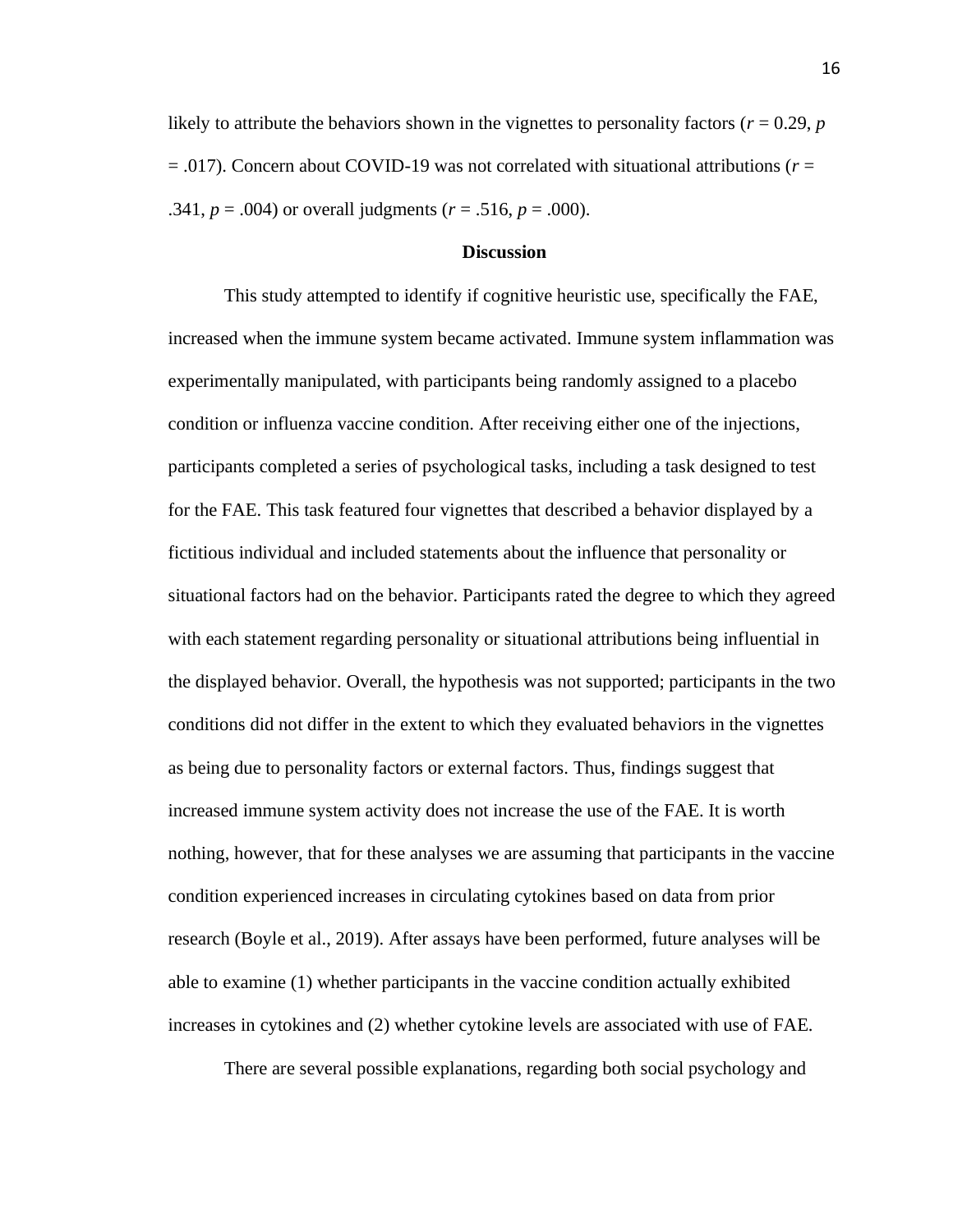likely to attribute the behaviors shown in the vignettes to personality factors ( $r = 0.29$ ,  $p$ ) = .017). Concern about COVID-19 was not correlated with situational attributions (*r* = .341,  $p = .004$ ) or overall judgments ( $r = .516$ ,  $p = .000$ ).

#### **Discussion**

This study attempted to identify if cognitive heuristic use, specifically the FAE, increased when the immune system became activated. Immune system inflammation was experimentally manipulated, with participants being randomly assigned to a placebo condition or influenza vaccine condition. After receiving either one of the injections, participants completed a series of psychological tasks, including a task designed to test for the FAE. This task featured four vignettes that described a behavior displayed by a fictitious individual and included statements about the influence that personality or situational factors had on the behavior. Participants rated the degree to which they agreed with each statement regarding personality or situational attributions being influential in the displayed behavior. Overall, the hypothesis was not supported; participants in the two conditions did not differ in the extent to which they evaluated behaviors in the vignettes as being due to personality factors or external factors. Thus, findings suggest that increased immune system activity does not increase the use of the FAE. It is worth nothing, however, that for these analyses we are assuming that participants in the vaccine condition experienced increases in circulating cytokines based on data from prior research (Boyle et al., 2019). After assays have been performed, future analyses will be able to examine (1) whether participants in the vaccine condition actually exhibited increases in cytokines and (2) whether cytokine levels are associated with use of FAE.

There are several possible explanations, regarding both social psychology and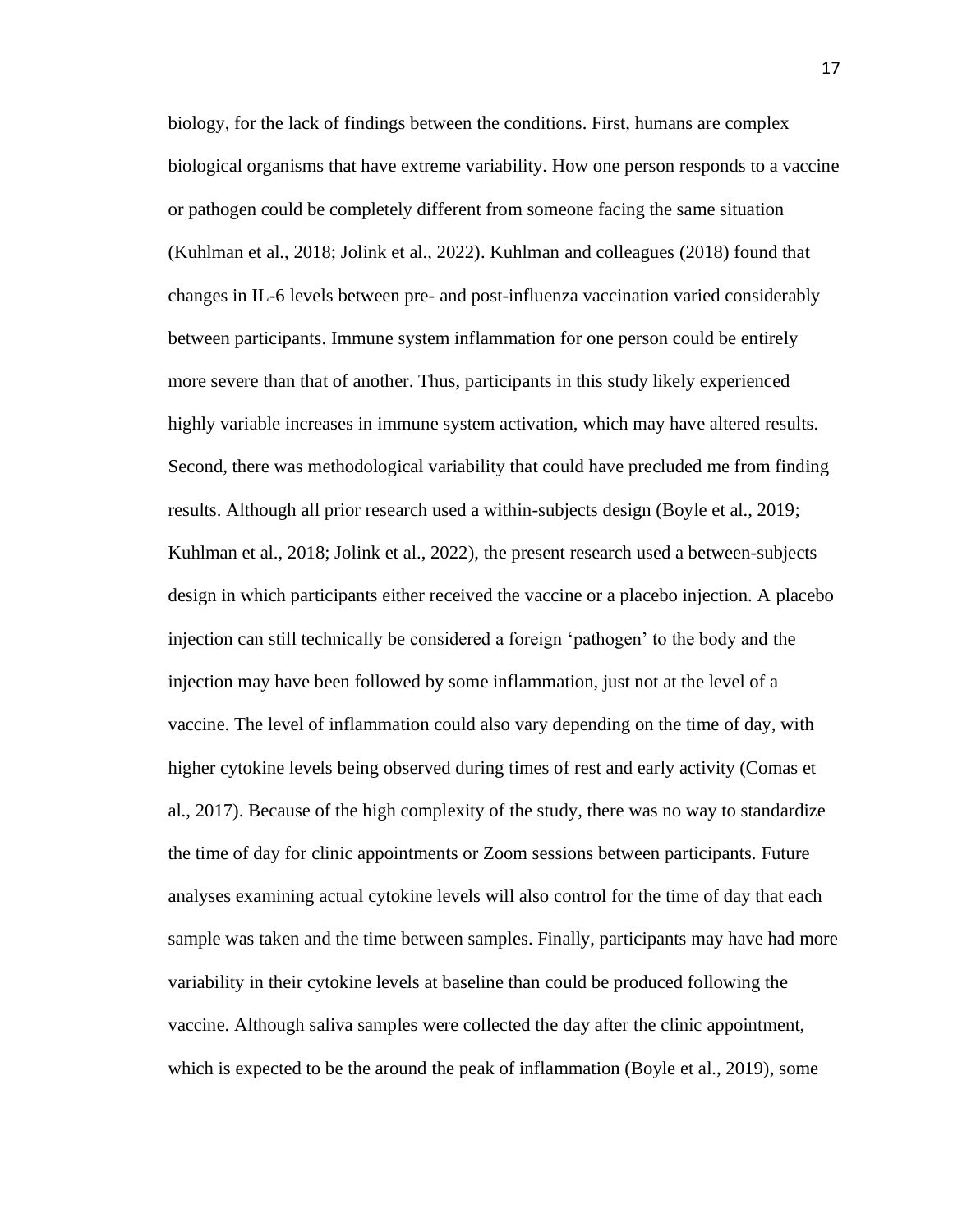biology, for the lack of findings between the conditions. First, humans are complex biological organisms that have extreme variability. How one person responds to a vaccine or pathogen could be completely different from someone facing the same situation (Kuhlman et al., 2018; Jolink et al., 2022). Kuhlman and colleagues (2018) found that changes in IL-6 levels between pre- and post-influenza vaccination varied considerably between participants. Immune system inflammation for one person could be entirely more severe than that of another. Thus, participants in this study likely experienced highly variable increases in immune system activation, which may have altered results. Second, there was methodological variability that could have precluded me from finding results. Although all prior research used a within-subjects design (Boyle et al., 2019; Kuhlman et al., 2018; Jolink et al., 2022), the present research used a between-subjects design in which participants either received the vaccine or a placebo injection. A placebo injection can still technically be considered a foreign 'pathogen' to the body and the injection may have been followed by some inflammation, just not at the level of a vaccine. The level of inflammation could also vary depending on the time of day, with higher cytokine levels being observed during times of rest and early activity (Comas et al., 2017). Because of the high complexity of the study, there was no way to standardize the time of day for clinic appointments or Zoom sessions between participants. Future analyses examining actual cytokine levels will also control for the time of day that each sample was taken and the time between samples. Finally, participants may have had more variability in their cytokine levels at baseline than could be produced following the vaccine. Although saliva samples were collected the day after the clinic appointment, which is expected to be the around the peak of inflammation (Boyle et al., 2019), some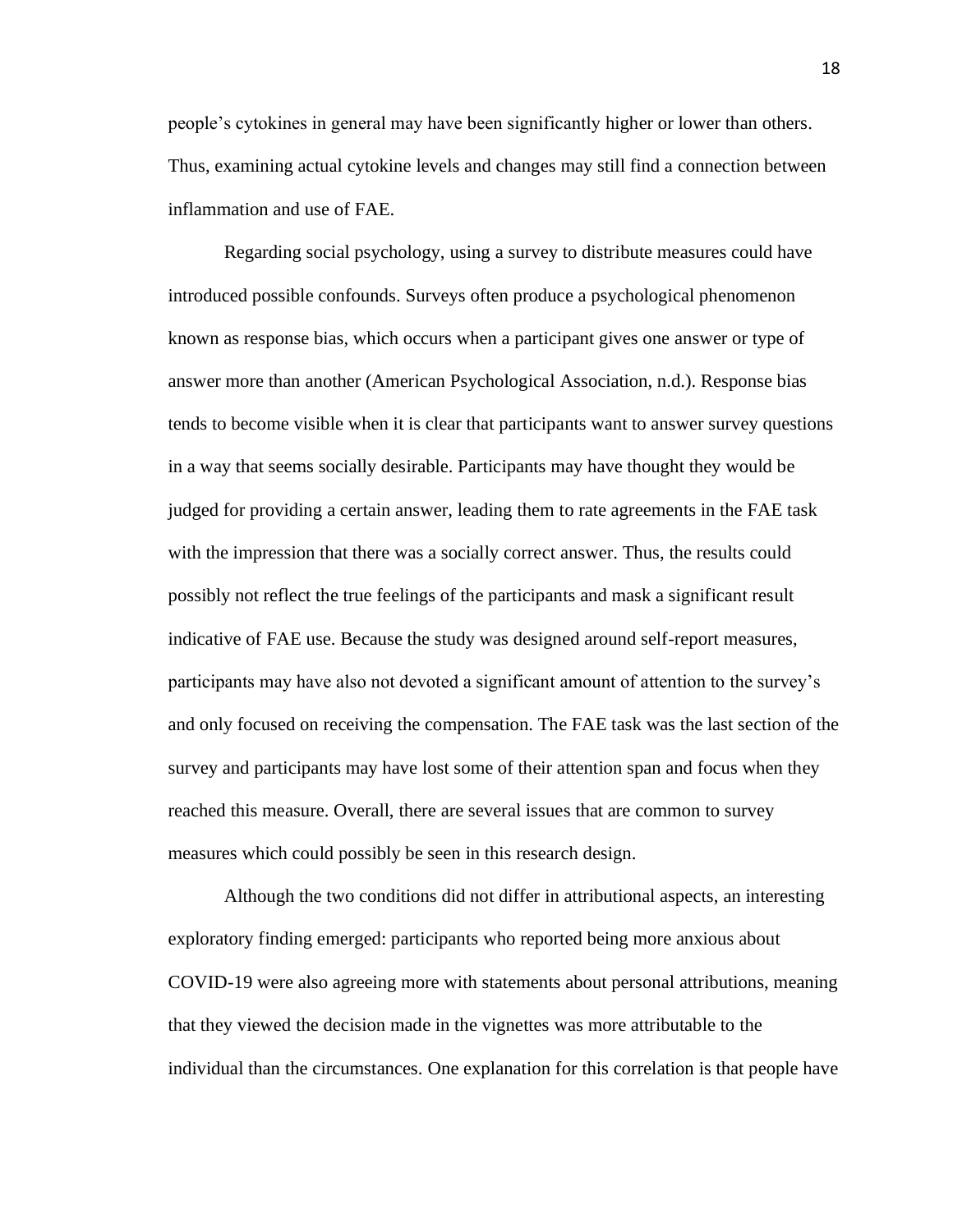people's cytokines in general may have been significantly higher or lower than others. Thus, examining actual cytokine levels and changes may still find a connection between inflammation and use of FAE.

Regarding social psychology, using a survey to distribute measures could have introduced possible confounds. Surveys often produce a psychological phenomenon known as response bias, which occurs when a participant gives one answer or type of answer more than another (American Psychological Association, n.d.). Response bias tends to become visible when it is clear that participants want to answer survey questions in a way that seems socially desirable. Participants may have thought they would be judged for providing a certain answer, leading them to rate agreements in the FAE task with the impression that there was a socially correct answer. Thus, the results could possibly not reflect the true feelings of the participants and mask a significant result indicative of FAE use. Because the study was designed around self-report measures, participants may have also not devoted a significant amount of attention to the survey's and only focused on receiving the compensation. The FAE task was the last section of the survey and participants may have lost some of their attention span and focus when they reached this measure. Overall, there are several issues that are common to survey measures which could possibly be seen in this research design.

Although the two conditions did not differ in attributional aspects, an interesting exploratory finding emerged: participants who reported being more anxious about COVID-19 were also agreeing more with statements about personal attributions, meaning that they viewed the decision made in the vignettes was more attributable to the individual than the circumstances. One explanation for this correlation is that people have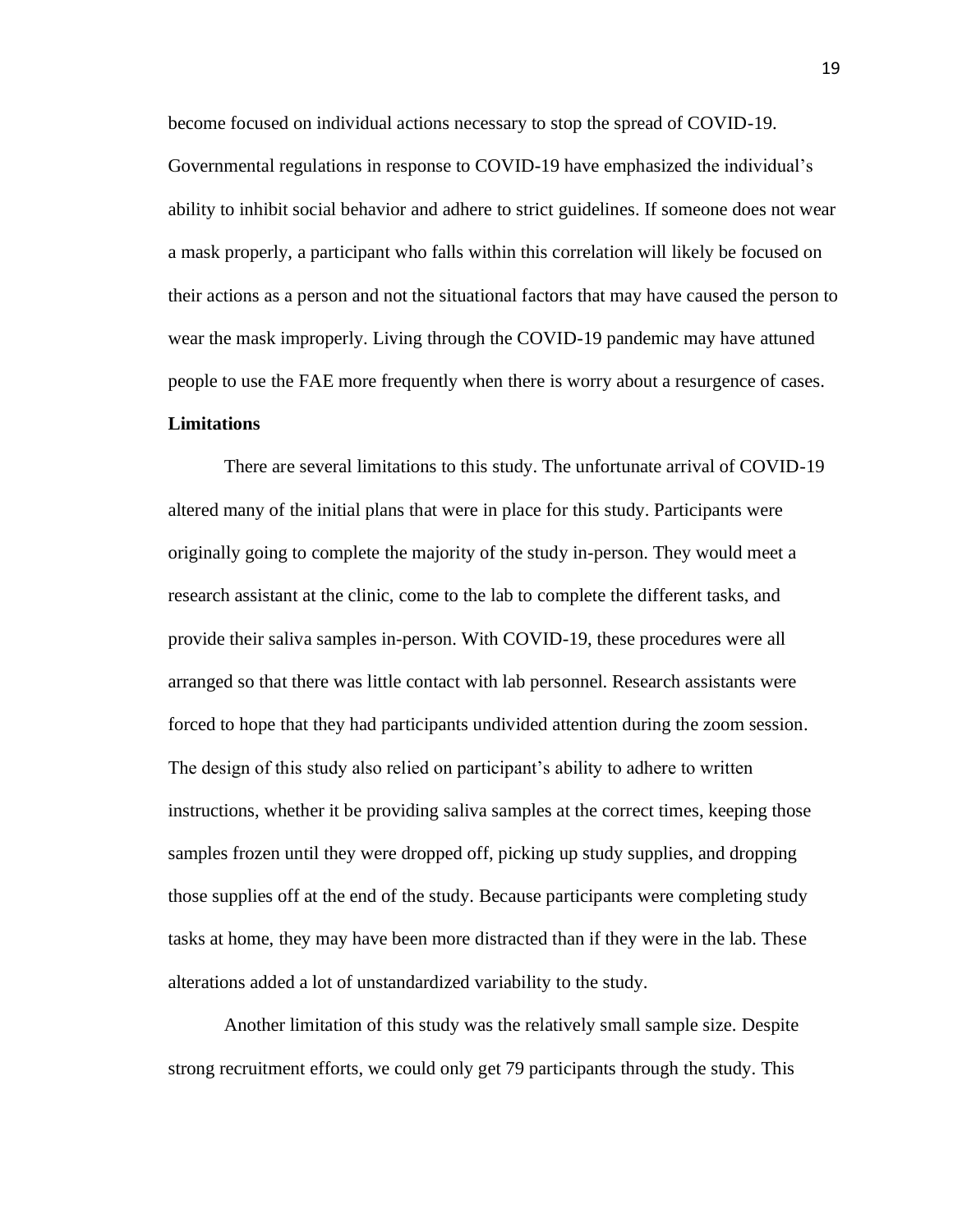become focused on individual actions necessary to stop the spread of COVID-19. Governmental regulations in response to COVID-19 have emphasized the individual's ability to inhibit social behavior and adhere to strict guidelines. If someone does not wear a mask properly, a participant who falls within this correlation will likely be focused on their actions as a person and not the situational factors that may have caused the person to wear the mask improperly. Living through the COVID-19 pandemic may have attuned people to use the FAE more frequently when there is worry about a resurgence of cases.

#### **Limitations**

There are several limitations to this study. The unfortunate arrival of COVID-19 altered many of the initial plans that were in place for this study. Participants were originally going to complete the majority of the study in-person. They would meet a research assistant at the clinic, come to the lab to complete the different tasks, and provide their saliva samples in-person. With COVID-19, these procedures were all arranged so that there was little contact with lab personnel. Research assistants were forced to hope that they had participants undivided attention during the zoom session. The design of this study also relied on participant's ability to adhere to written instructions, whether it be providing saliva samples at the correct times, keeping those samples frozen until they were dropped off, picking up study supplies, and dropping those supplies off at the end of the study. Because participants were completing study tasks at home, they may have been more distracted than if they were in the lab. These alterations added a lot of unstandardized variability to the study.

Another limitation of this study was the relatively small sample size. Despite strong recruitment efforts, we could only get 79 participants through the study. This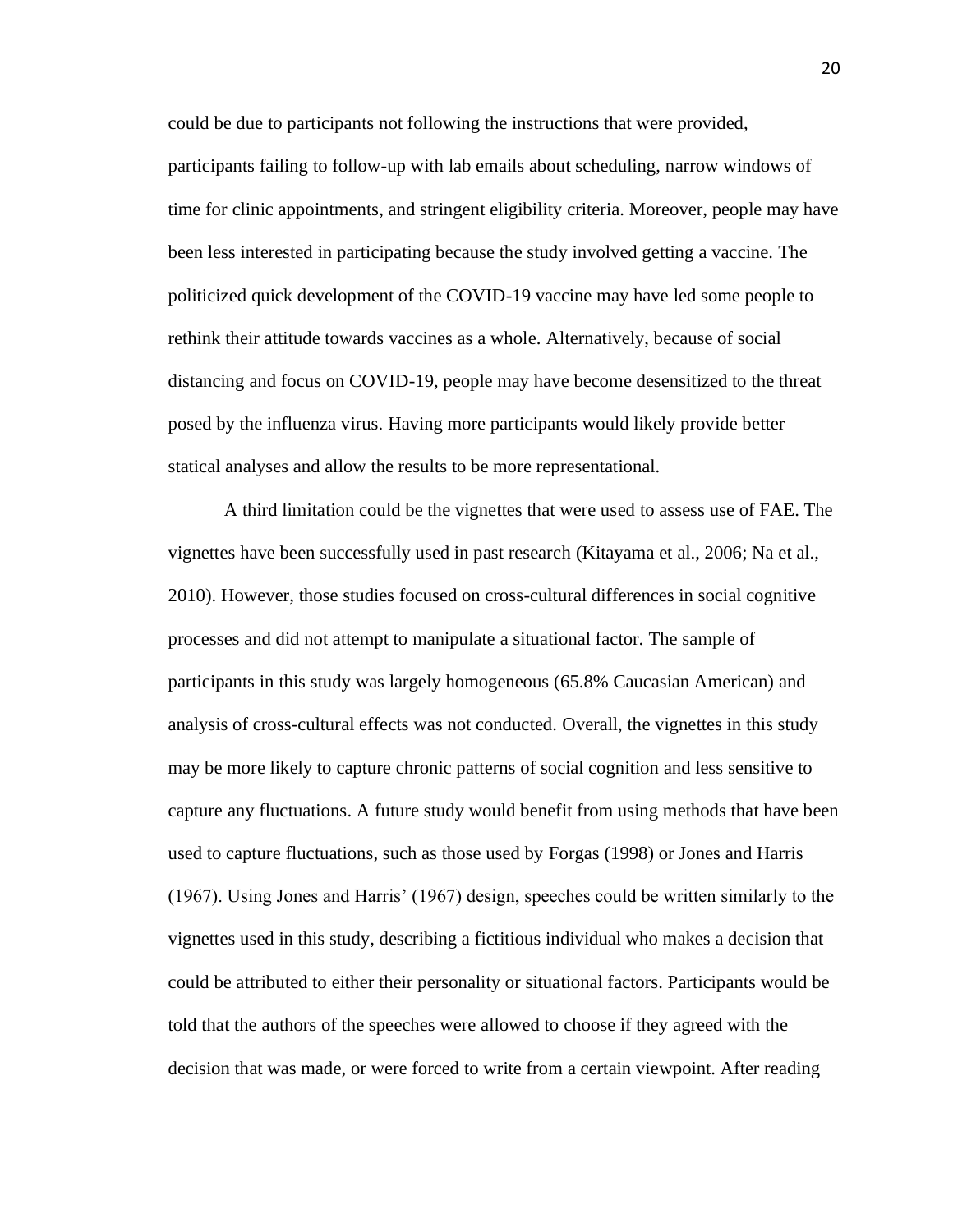could be due to participants not following the instructions that were provided, participants failing to follow-up with lab emails about scheduling, narrow windows of time for clinic appointments, and stringent eligibility criteria. Moreover, people may have been less interested in participating because the study involved getting a vaccine. The politicized quick development of the COVID-19 vaccine may have led some people to rethink their attitude towards vaccines as a whole. Alternatively, because of social distancing and focus on COVID-19, people may have become desensitized to the threat posed by the influenza virus. Having more participants would likely provide better statical analyses and allow the results to be more representational.

A third limitation could be the vignettes that were used to assess use of FAE. The vignettes have been successfully used in past research (Kitayama et al., 2006; Na et al., 2010). However, those studies focused on cross-cultural differences in social cognitive processes and did not attempt to manipulate a situational factor. The sample of participants in this study was largely homogeneous (65.8% Caucasian American) and analysis of cross-cultural effects was not conducted. Overall, the vignettes in this study may be more likely to capture chronic patterns of social cognition and less sensitive to capture any fluctuations. A future study would benefit from using methods that have been used to capture fluctuations, such as those used by Forgas (1998) or Jones and Harris (1967). Using Jones and Harris' (1967) design, speeches could be written similarly to the vignettes used in this study, describing a fictitious individual who makes a decision that could be attributed to either their personality or situational factors. Participants would be told that the authors of the speeches were allowed to choose if they agreed with the decision that was made, or were forced to write from a certain viewpoint. After reading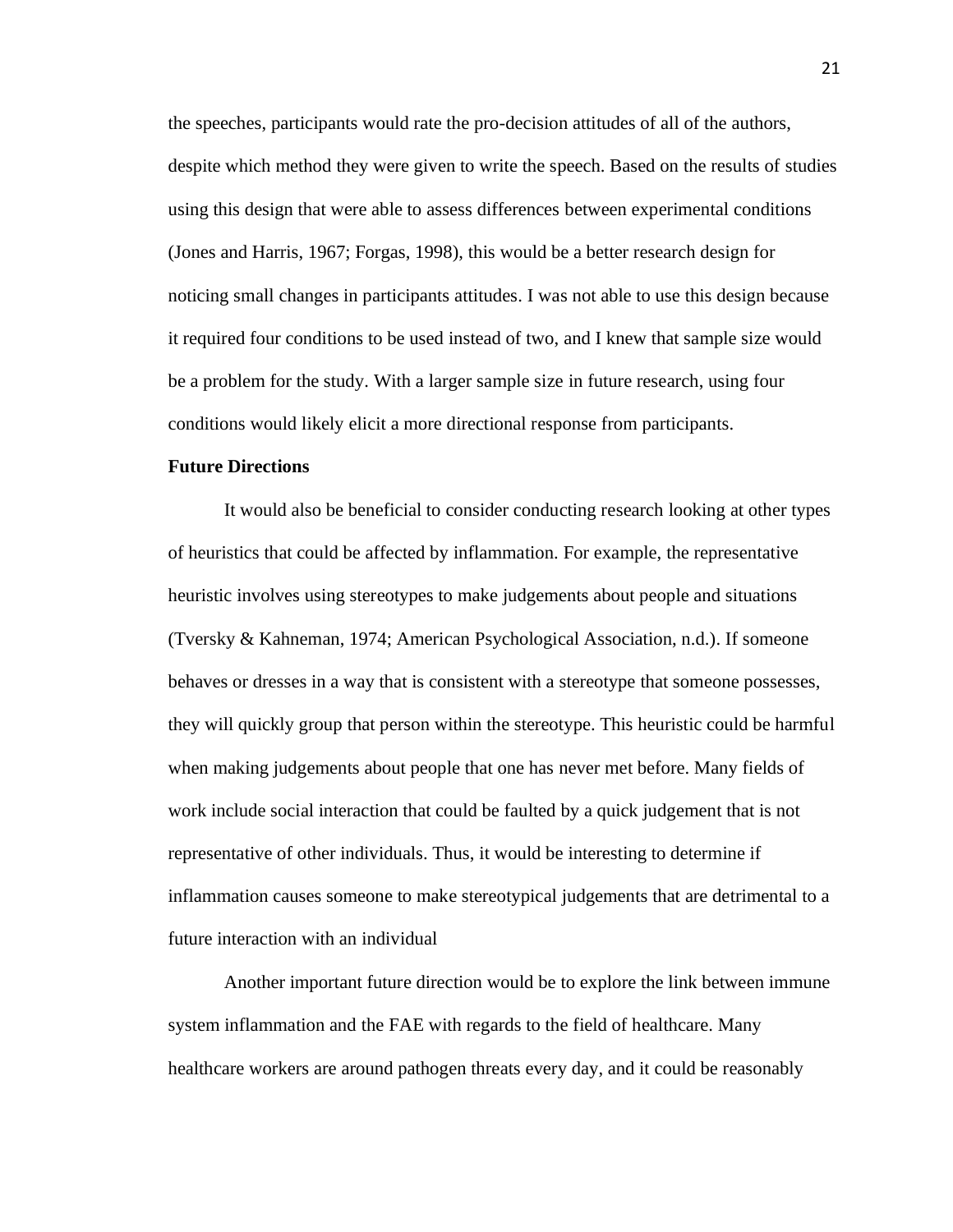the speeches, participants would rate the pro-decision attitudes of all of the authors, despite which method they were given to write the speech. Based on the results of studies using this design that were able to assess differences between experimental conditions (Jones and Harris, 1967; Forgas, 1998), this would be a better research design for noticing small changes in participants attitudes. I was not able to use this design because it required four conditions to be used instead of two, and I knew that sample size would be a problem for the study. With a larger sample size in future research, using four conditions would likely elicit a more directional response from participants.

#### **Future Directions**

It would also be beneficial to consider conducting research looking at other types of heuristics that could be affected by inflammation. For example, the representative heuristic involves using stereotypes to make judgements about people and situations (Tversky & Kahneman, 1974; American Psychological Association, n.d.). If someone behaves or dresses in a way that is consistent with a stereotype that someone possesses, they will quickly group that person within the stereotype. This heuristic could be harmful when making judgements about people that one has never met before. Many fields of work include social interaction that could be faulted by a quick judgement that is not representative of other individuals. Thus, it would be interesting to determine if inflammation causes someone to make stereotypical judgements that are detrimental to a future interaction with an individual

Another important future direction would be to explore the link between immune system inflammation and the FAE with regards to the field of healthcare. Many healthcare workers are around pathogen threats every day, and it could be reasonably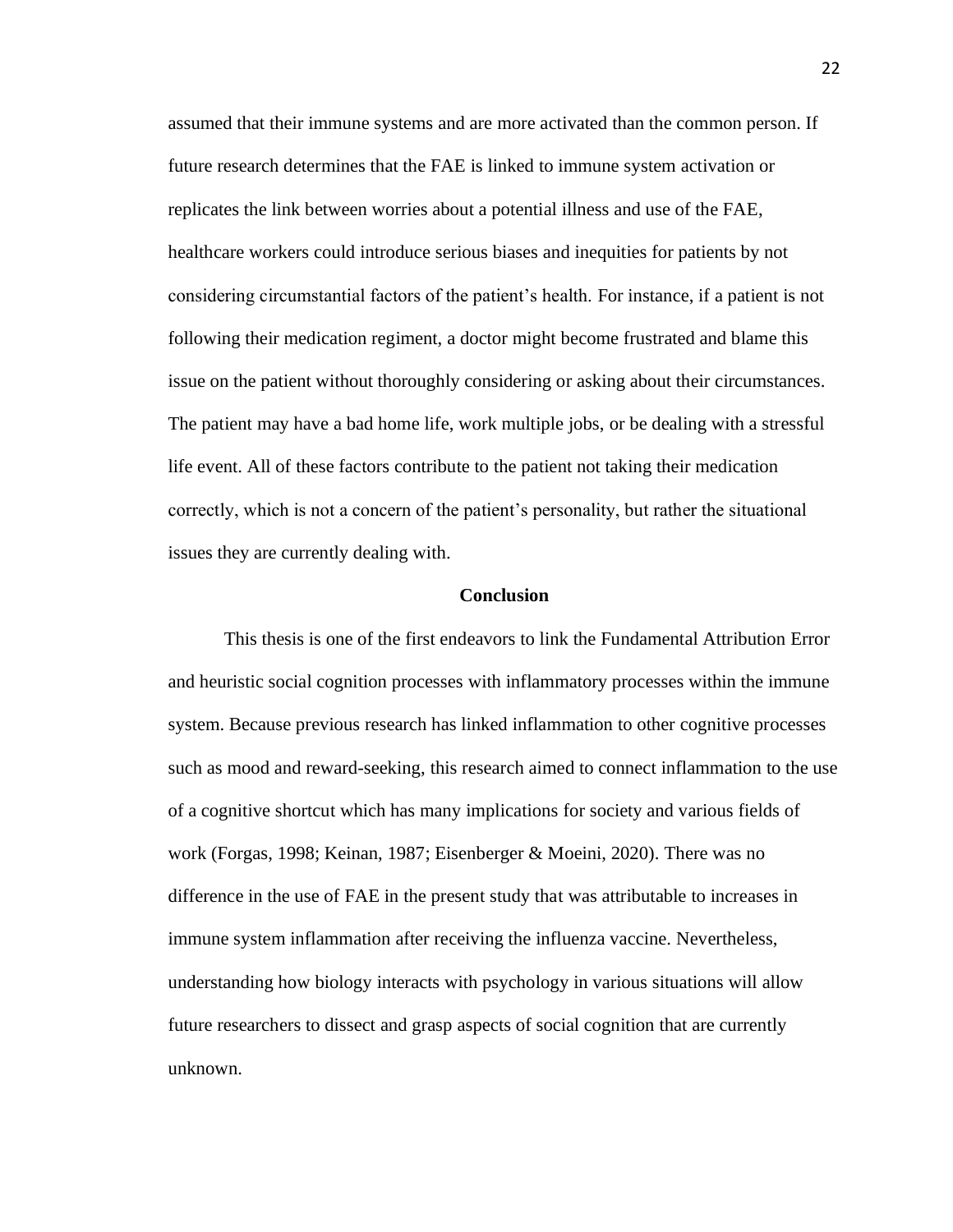assumed that their immune systems and are more activated than the common person. If future research determines that the FAE is linked to immune system activation or replicates the link between worries about a potential illness and use of the FAE, healthcare workers could introduce serious biases and inequities for patients by not considering circumstantial factors of the patient's health. For instance, if a patient is not following their medication regiment, a doctor might become frustrated and blame this issue on the patient without thoroughly considering or asking about their circumstances. The patient may have a bad home life, work multiple jobs, or be dealing with a stressful life event. All of these factors contribute to the patient not taking their medication correctly, which is not a concern of the patient's personality, but rather the situational issues they are currently dealing with.

#### **Conclusion**

This thesis is one of the first endeavors to link the Fundamental Attribution Error and heuristic social cognition processes with inflammatory processes within the immune system. Because previous research has linked inflammation to other cognitive processes such as mood and reward-seeking, this research aimed to connect inflammation to the use of a cognitive shortcut which has many implications for society and various fields of work (Forgas, 1998; Keinan, 1987; Eisenberger & Moeini, 2020). There was no difference in the use of FAE in the present study that was attributable to increases in immune system inflammation after receiving the influenza vaccine. Nevertheless, understanding how biology interacts with psychology in various situations will allow future researchers to dissect and grasp aspects of social cognition that are currently unknown.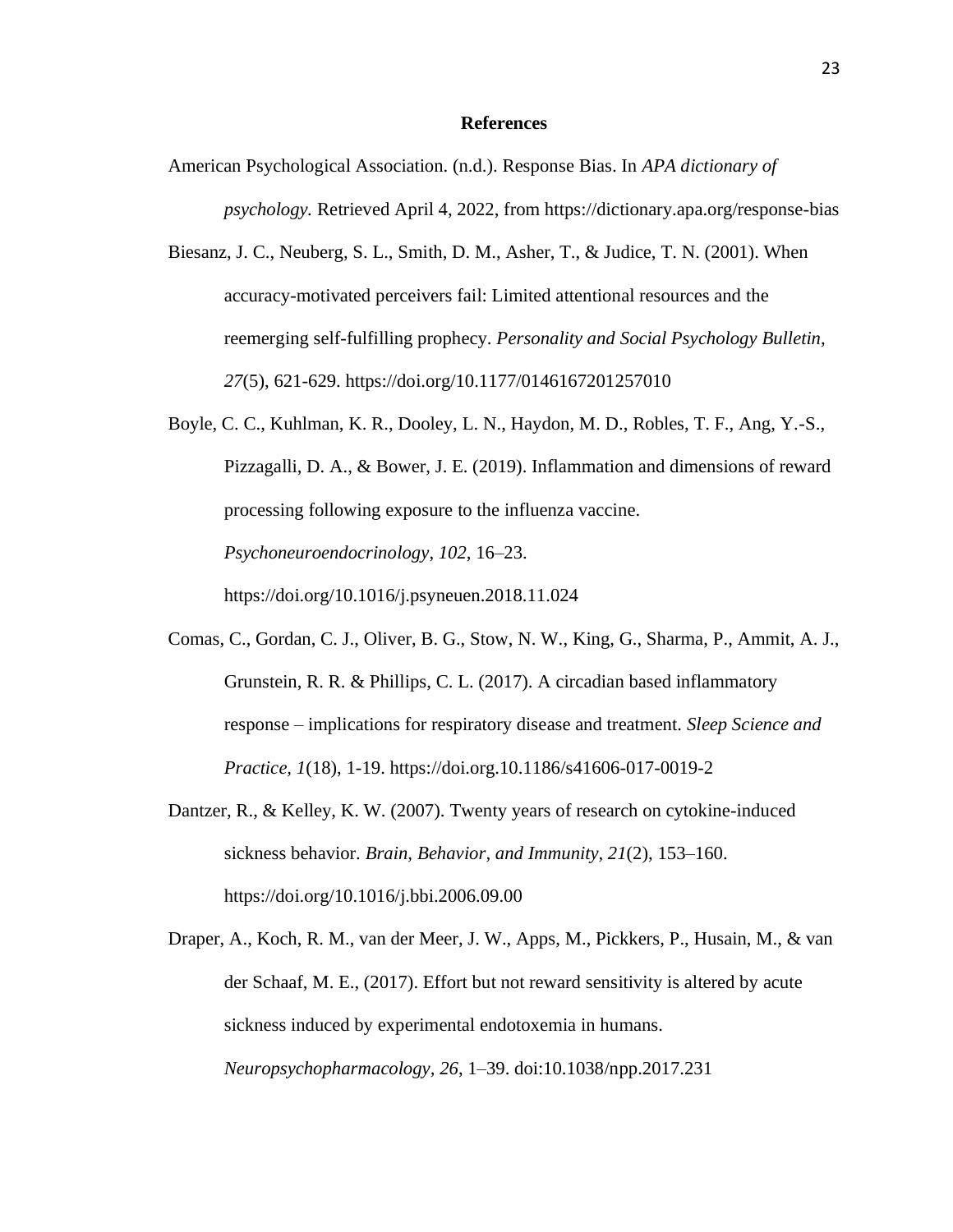#### **References**

- American Psychological Association. (n.d.). Response Bias. In *APA dictionary of psychology.* Retrieved April 4, 2022, from https://dictionary.apa.org/response-bias
- Biesanz, J. C., Neuberg, S. L., Smith, D. M., Asher, T., & Judice, T. N. (2001). When accuracy-motivated perceivers fail: Limited attentional resources and the reemerging self-fulfilling prophecy. *Personality and Social Psychology Bulletin, 27*(5), 621-629. https://doi.org/10.1177/0146167201257010
- Boyle, C. C., Kuhlman, K. R., Dooley, L. N., Haydon, M. D., Robles, T. F., Ang, Y.-S., Pizzagalli, D. A., & Bower, J. E. (2019). Inflammation and dimensions of reward processing following exposure to the influenza vaccine. *Psychoneuroendocrinology*, *102*, 16–23. <https://doi.org/10.1016/j.psyneuen.2018.11.024>
- Comas, C., Gordan, C. J., Oliver, B. G., Stow, N. W., King, G., Sharma, P., Ammit, A. J., Grunstein, R. R. & Phillips, C. L. (2017). A circadian based inflammatory response – implications for respiratory disease and treatment. *Sleep Science and Practice, 1*(18), 1-19. https://doi.org.10.1186/s41606-017-0019-2
- Dantzer, R., & Kelley, K. W. (2007). Twenty years of research on cytokine-induced sickness behavior. *Brain, Behavior, and Immunity*, *21*(2), 153–160. https://doi.org/10.1016/j.bbi.2006.09.00
- Draper, A., Koch, R. M., van der Meer, J. W., Apps, M., Pickkers, P., Husain, M., & van der Schaaf, M. E., (2017). Effort but not reward sensitivity is altered by acute sickness induced by experimental endotoxemia in humans. *Neuropsychopharmacology, 26*, 1–39. doi:10.1038/npp.2017.231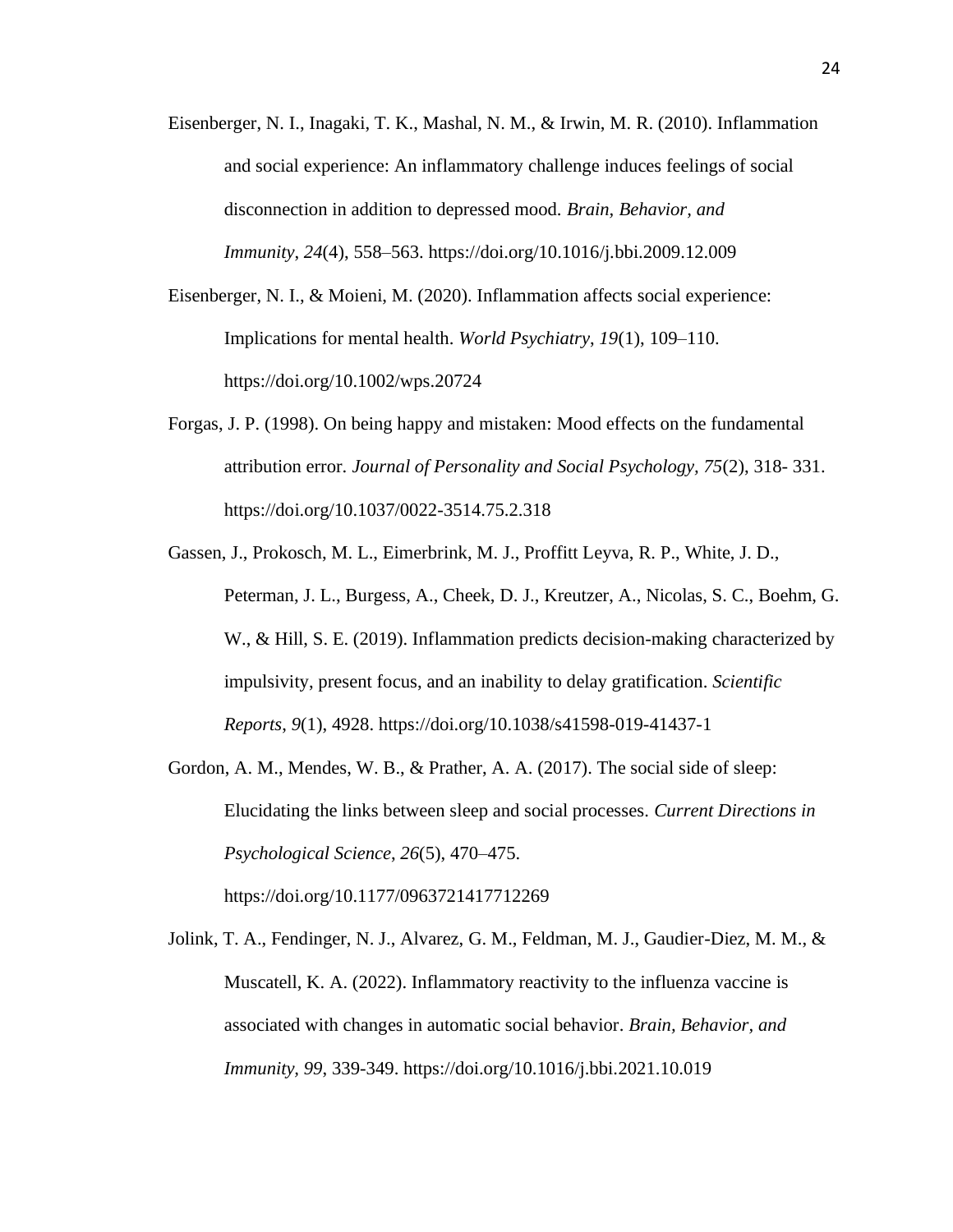- Eisenberger, N. I., Inagaki, T. K., Mashal, N. M., & Irwin, M. R. (2010). Inflammation and social experience: An inflammatory challenge induces feelings of social disconnection in addition to depressed mood. *Brain, Behavior, and Immunity*, *24*(4), 558–563. https://doi.org/10.1016/j.bbi.2009.12.009
- Eisenberger, N. I., & Moieni, M. (2020). Inflammation affects social experience: Implications for mental health. *World Psychiatry*, *19*(1), 109–110. https://doi.org/10.1002/wps.20724
- Forgas, J. P. (1998). On being happy and mistaken: Mood effects on the fundamental attribution error. *Journal of Personality and Social Psychology, 75*(2), 318- 331. https://doi.org/10.1037/0022-3514.75.2.318
- Gassen, J., Prokosch, M. L., Eimerbrink, M. J., Proffitt Leyva, R. P., White, J. D., Peterman, J. L., Burgess, A., Cheek, D. J., Kreutzer, A., Nicolas, S. C., Boehm, G. W., & Hill, S. E. (2019). Inflammation predicts decision-making characterized by impulsivity, present focus, and an inability to delay gratification. *Scientific Reports*, *9*(1), 4928.<https://doi.org/10.1038/s41598-019-41437-1>
- Gordon, A. M., Mendes, W. B., & Prather, A. A. (2017). The social side of sleep: Elucidating the links between sleep and social processes. *Current Directions in Psychological Science*, *26*(5), 470–475.

https://doi.org/10.1177/0963721417712269

Jolink, T. A., Fendinger, N. J., Alvarez, G. M., Feldman, M. J., Gaudier-Diez, M. M., & Muscatell, K. A. (2022). Inflammatory reactivity to the influenza vaccine is associated with changes in automatic social behavior. *Brain, Behavior, and Immunity, 99*, 339-349. https://doi.org/10.1016/j.bbi.2021.10.019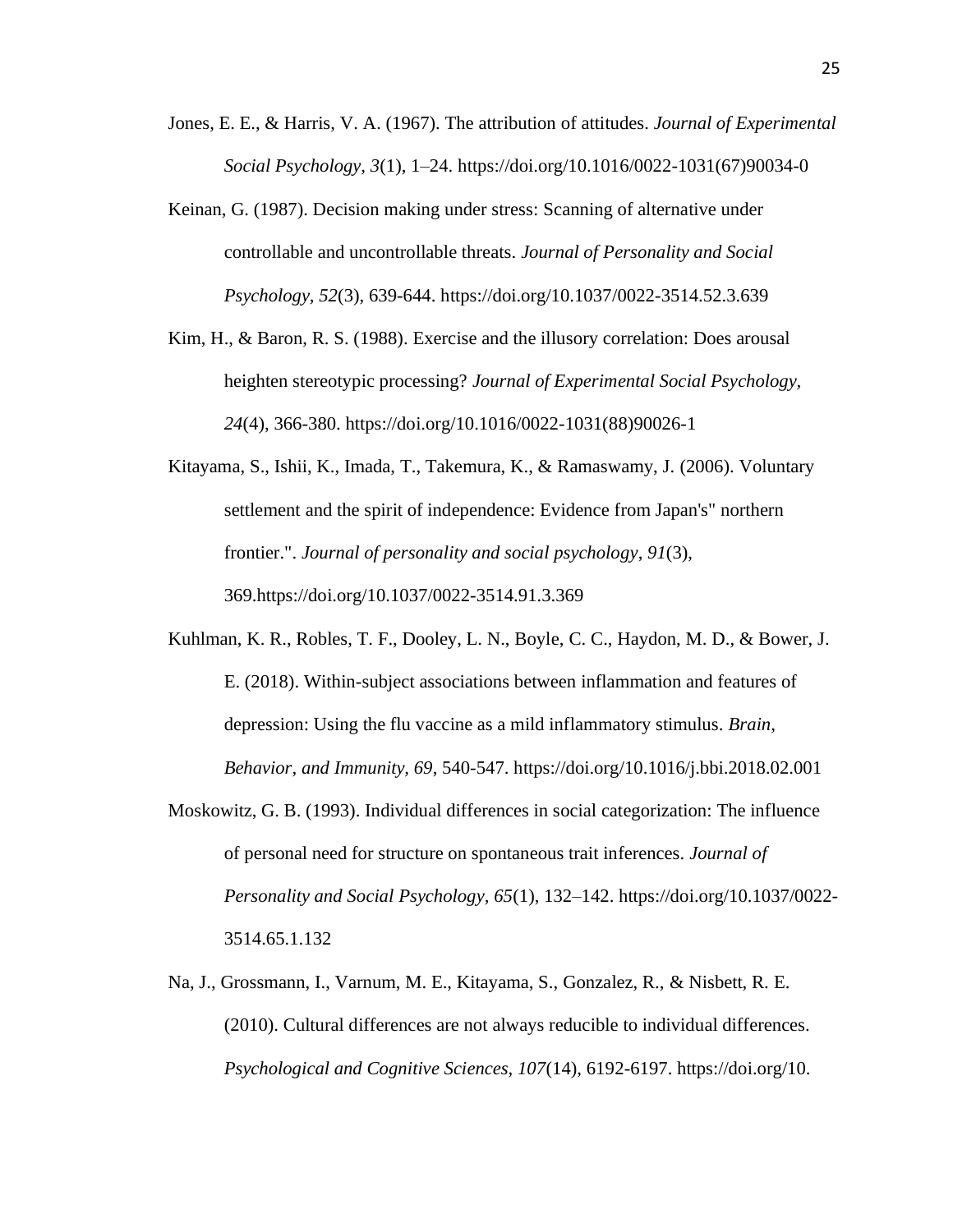- Jones, E. E., & Harris, V. A. (1967). The attribution of attitudes. *Journal of Experimental Social Psychology, 3*(1), 1–24. [https://doi.org/10.1016/0022-1031\(67\)90034-0](https://psycnet.apa.org/doi/10.1016/0022-1031(67)90034-0)
- Keinan, G. (1987). Decision making under stress: Scanning of alternative under controllable and uncontrollable threats. *Journal of Personality and Social Psychology, 52*(3), 639-644.<https://doi.org/10.1037/0022-3514.52.3.639>
- Kim, H., & Baron, R. S. (1988). Exercise and the illusory correlation: Does arousal heighten stereotypic processing? *Journal of Experimental Social Psychology, 24*(4), 366-380. https://doi.org/10.1016/0022-1031(88)90026-1
- Kitayama, S., Ishii, K., Imada, T., Takemura, K., & Ramaswamy, J. (2006). Voluntary settlement and the spirit of independence: Evidence from Japan's" northern frontier.". *Journal of personality and social psychology*, *91*(3), 369.https://doi.org[/10.1037/0022-3514.91.3.369](http://dx.doi.org/10.1037/0022-3514.91.3.369)
- Kuhlman, K. R., Robles, T. F., Dooley, L. N., Boyle, C. C., Haydon, M. D., & Bower, J. E. (2018). Within-subject associations between inflammation and features of depression: Using the flu vaccine as a mild inflammatory stimulus. *Brain, Behavior, and Immunity, 69*, 540-547. https://doi.org/10.1016/j.bbi.2018.02.001
- Moskowitz, G. B. (1993). Individual differences in social categorization: The influence of personal need for structure on spontaneous trait inferences. *Journal of Personality and Social Psychology, 65*(1), 132–142. [https://doi.org/10.1037/0022-](https://psycnet.apa.org/doi/10.1037/0022-3514.65.1.132) [3514.65.1.132](https://psycnet.apa.org/doi/10.1037/0022-3514.65.1.132)
- Na, J., Grossmann, I., Varnum, M. E., Kitayama, S., Gonzalez, R., & Nisbett, R. E. (2010). Cultural differences are not always reducible to individual differences. *Psychological and Cognitive Sciences, 107*(14), 6192-6197. https://doi.org/10.